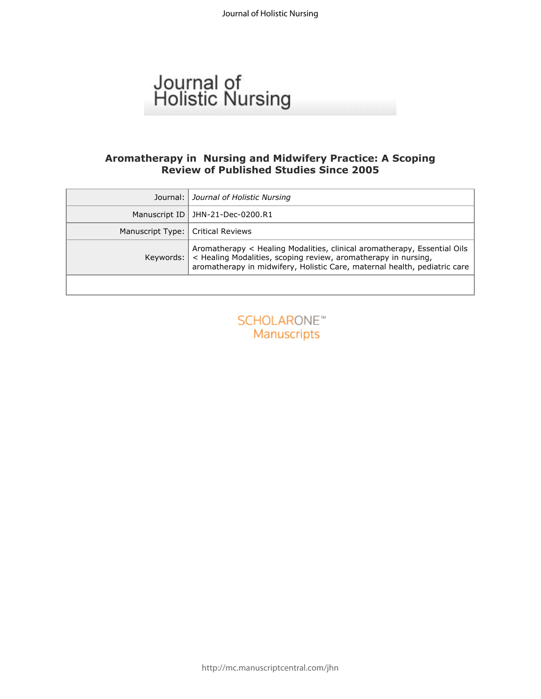# Journal of<br>Holistic Nursing

## **Aromatherapy in Nursing and Midwifery Practice: A Scoping Review of Published Studies Since 2005**

| Journal:         | Journal of Holistic Nursing                                                                                                                                                                                             |
|------------------|-------------------------------------------------------------------------------------------------------------------------------------------------------------------------------------------------------------------------|
| Manuscript ID    | JHN-21-Dec-0200.R1                                                                                                                                                                                                      |
| Manuscript Type: | <b>Critical Reviews</b>                                                                                                                                                                                                 |
| Keywords:        | Aromatherapy < Healing Modalities, clinical aromatherapy, Essential Oils<br>< Healing Modalities, scoping review, aromatherapy in nursing,<br>aromatherapy in midwifery, Holistic Care, maternal health, pediatric care |
|                  |                                                                                                                                                                                                                         |
|                  | <b>SCHOLARONE™</b><br>Manuscripts                                                                                                                                                                                       |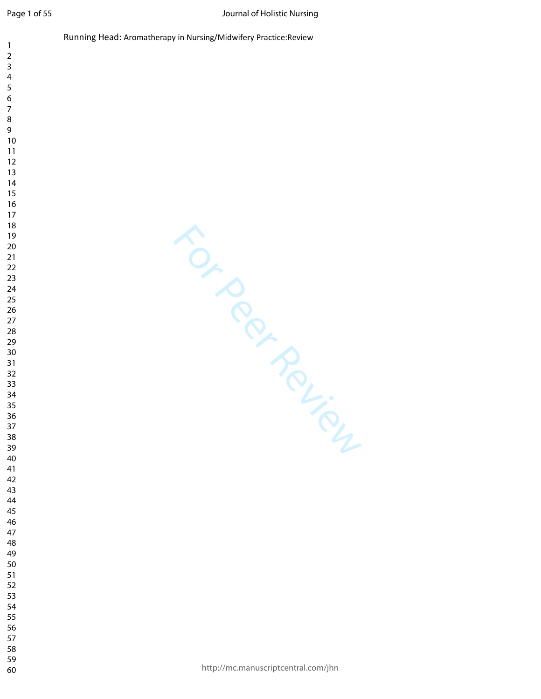$\mathbf{1}$ 

- $\overline{7}$
- 
- 
- 
- 
- 
- 
- 
- 
- 
- 
- 
- 
- 
- 
- 
- 
- 
- 
- 
- 
- 
- 
- 
- 
- 
- 
- 
- 
- 
- 
- 
- 
- 
- 
- 
- 
- 

http://mc.manuscriptcentral.com/jhn

For Per Review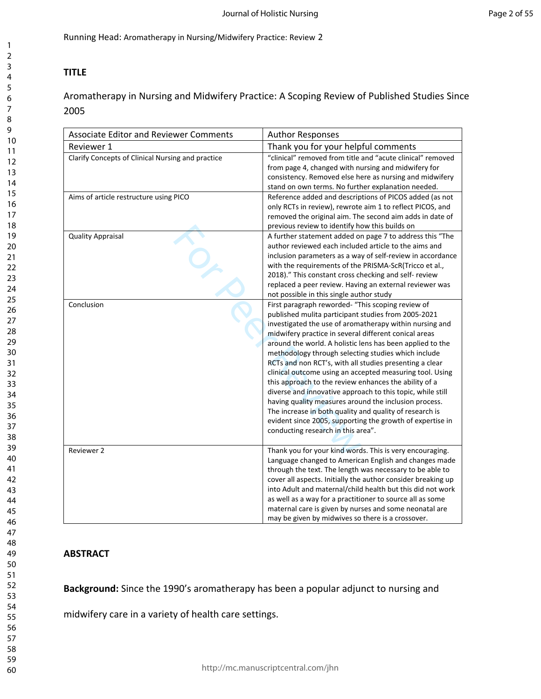# **TITLE**

Aromatherapy in Nursing and Midwifery Practice: A Scoping Review of Published Studies Since 2005

| <b>Associate Editor and Reviewer Comments</b>     | <b>Author Responses</b>                                                                                                                                                                                                                                                                                                                                                                                                                                                                                                                                                                                                                                                                                                                                                                                               |
|---------------------------------------------------|-----------------------------------------------------------------------------------------------------------------------------------------------------------------------------------------------------------------------------------------------------------------------------------------------------------------------------------------------------------------------------------------------------------------------------------------------------------------------------------------------------------------------------------------------------------------------------------------------------------------------------------------------------------------------------------------------------------------------------------------------------------------------------------------------------------------------|
| Reviewer 1                                        | Thank you for your helpful comments                                                                                                                                                                                                                                                                                                                                                                                                                                                                                                                                                                                                                                                                                                                                                                                   |
| Clarify Concepts of Clinical Nursing and practice | "clinical" removed from title and "acute clinical" removed<br>from page 4, changed with nursing and midwifery for<br>consistency. Removed else here as nursing and midwifery<br>stand on own terms. No further explanation needed.                                                                                                                                                                                                                                                                                                                                                                                                                                                                                                                                                                                    |
| Aims of article restructure using PICO            | Reference added and descriptions of PICOS added (as not<br>only RCTs in review), rewrote aim 1 to reflect PICOS, and<br>removed the original aim. The second aim adds in date of<br>previous review to identify how this builds on                                                                                                                                                                                                                                                                                                                                                                                                                                                                                                                                                                                    |
| <b>Quality Appraisal</b>                          | A further statement added on page 7 to address this "The<br>author reviewed each included article to the aims and<br>inclusion parameters as a way of self-review in accordance<br>with the requirements of the PRISMA-ScR(Tricco et al.,<br>2018)." This constant cross checking and self- review<br>replaced a peer review. Having an external reviewer was<br>not possible in this single author study                                                                                                                                                                                                                                                                                                                                                                                                             |
| Conclusion                                        | First paragraph reworded- "This scoping review of<br>published mulita participant studies from 2005-2021<br>investigated the use of aromatherapy within nursing and<br>midwifery practice in several different conical areas<br>around the world. A holistic lens has been applied to the<br>methodology through selecting studies which include<br>RCTs and non RCT's, with all studies presenting a clear<br>clinical outcome using an accepted measuring tool. Using<br>this approach to the review enhances the ability of a<br>diverse and innovative approach to this topic, while still<br>having quality measures around the inclusion process.<br>The increase in both quality and quality of research is<br>evident since 2005, supporting the growth of expertise in<br>conducting research in this area". |
| Reviewer 2                                        | Thank you for your kind words. This is very encouraging.<br>Language changed to American English and changes made<br>through the text. The length was necessary to be able to<br>cover all aspects. Initially the author consider breaking up<br>into Adult and maternal/child health but this did not work<br>as well as a way for a practitioner to source all as some<br>maternal care is given by nurses and some neonatal are<br>may be given by midwives so there is a crossover.                                                                                                                                                                                                                                                                                                                               |

# **ABSTRACT**

**Background:** Since the 1990's aromatherapy has been a popular adjunct to nursing and

midwifery care in a variety of health care settings.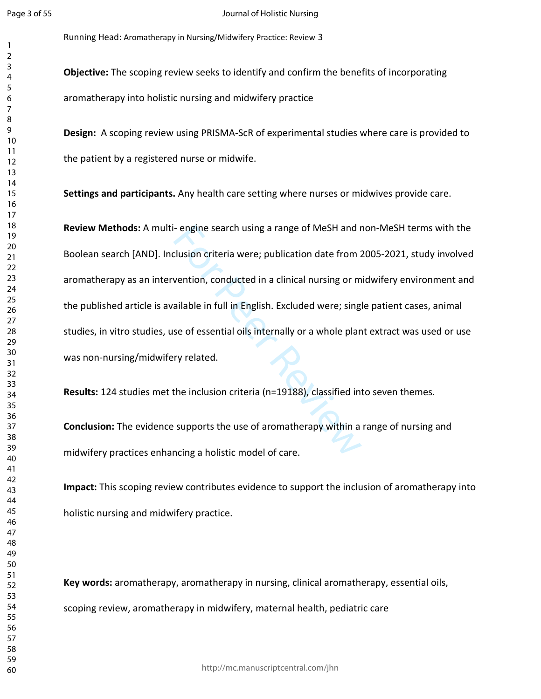$\overline{2}$  Running Head: Aromatherapy in Nursing/Midwifery Practice: Review 3

**Design:** A scoping review using PRISMA-ScR of experimental studies where care is provided to the patient by a registered nurse or midwife.

**Settings and participants.** Any health care setting where nurses or midwives provide care.

- engine search using a range of MeSH and r<br>clusion criteria were; publication date from 2<br>vention, conducted in a clinical nursing or m<br>ailable in full in English. Excluded were; sing<br>se of essential oils internally or a **Review Methods:**  A multi- engine search using a range of MeSH and non-MeSH terms with the Boolean search [AND]. Inclusion criteria were; publication date from 2005-2021, study involved aromatherapy as an intervention, conducted in a clinical nursing or midwifery environment and the published article is available in full in English. Excluded were; single patient cases, animal studies, in vitro studies, use of essential oils internally or a whole plant extract was used or use was non-nursing/midwifery related.

**Results:** 124 studies met the inclusion criteria (n=19188), classified into seven themes.

**Conclusion:** The evidence supports the use of aromatherapy within a range of nursing and midwifery practices enhancing a holistic model of care.

**Impact:** This scoping review contributes evidence to support the inclusion of aromatherapy into holistic nursing and midwifery practice.

**Key words:** aromatherapy, aromatherapy in nursing, clinical aromatherapy, essential oils, scoping review, aromatherapy in midwifery, maternal health, pediatric care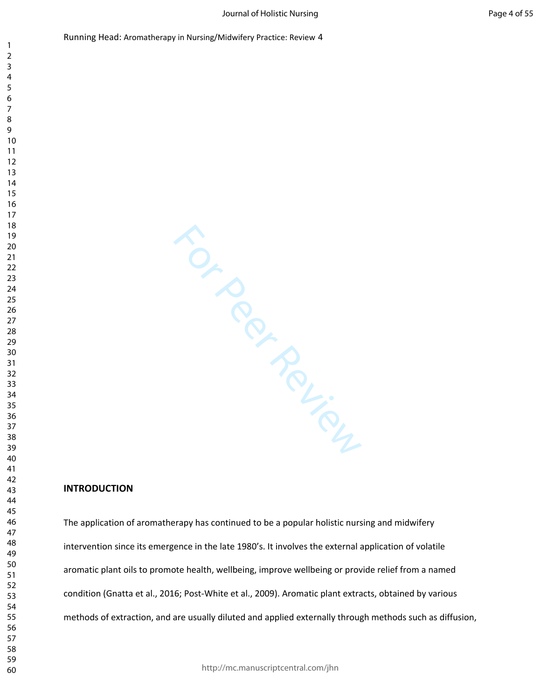For Per Review subsequences

## **INTRODUCTION**

The application of aromatherapy has continued to be a popular holistic nursing and midwifery intervention since its emergence in the late 1980's. It involves the external application of volatile aromatic plant oils to promote health, wellbeing, improve wellbeing or provide relief from a named condition (Gnatta et al., 2016; Post-White et al., 2009). Aromatic plant extracts, obtained by various methods of extraction, and are usually diluted and applied externally through methods such as diffusion,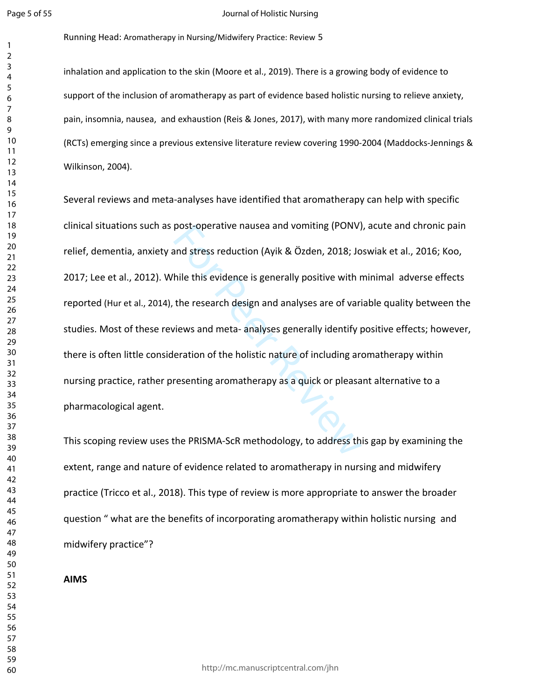$\mathbf{1}$  $\overline{2}$ 

#### Journal of Holistic Nursing

Running Head: Aromatherapy in Nursing/Midwifery Practice: Review 5

inhalation and application to the skin (Moore et al., 2019). There is a growing body of evidence to support of the inclusion of aromatherapy as part of evidence based holistic nursing to relieve anxiety, pain, insomnia, nausea, and exhaustion (Reis & Jones, 2017), with many more randomized clinical trials (RCTs) emerging since a previous extensive literature review covering 1990-2004 (Maddocks-Jennings & Wilkinson, 2004).

post-operative nausea and vomiting (PONV)<br>and stress reduction (Ayik & Özden, 2018; Jo<br>hile this evidence is generally positive with r<br>the research design and analyses are of vari<br>views and meta- analyses generally identif Several reviews and meta-analyses have identified that aromatherapy can help with specific clinical situations such as post-operative nausea and vomiting (PONV), acute and chronic pain relief, dementia, anxiety and stress reduction (Ayik & Özden, 2018; Joswiak et al., 2016; Koo, 2017; Lee et al., 2012). While this evidence is generally positive with minimal adverse effects reported (Hur et al., 2014), the research design and analyses are of variable quality between the studies. Most of these reviews and meta- analyses generally identify positive effects; however, there is often little consideration of the holistic nature of including aromatherapy within nursing practice, rather presenting aromatherapy as a quick or pleasant alternative to a pharmacological agent.

This scoping review uses the PRISMA-ScR methodology, to address this gap by examining the extent, range and nature of evidence related to aromatherapy in nursing and midwifery practice (Tricco et al., 2018). This type of review is more appropriate to answer the broader question " what are the benefits of incorporating aromatherapy within holistic nursing and midwifery practice"?

**AIMS**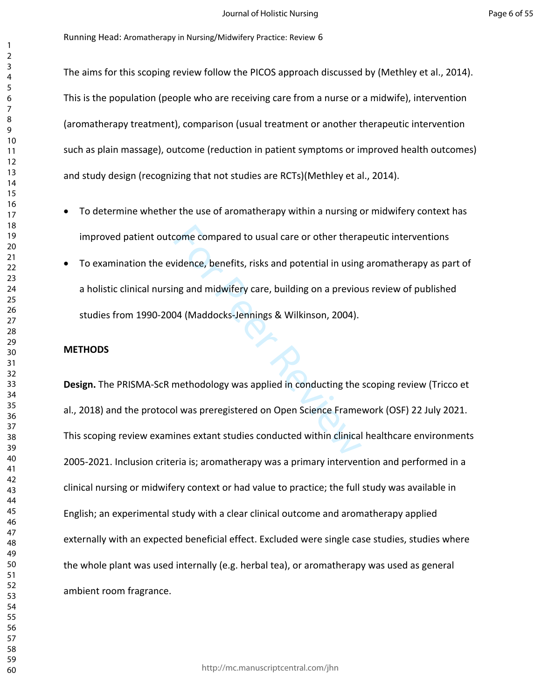The aims for this scoping review follow the PICOS approach discussed by (Methley et al., 2014). This is the population (people who are receiving care from a nurse or a midwife), intervention (aromatherapy treatment), comparison (usual treatment or another therapeutic intervention such as plain massage), outcome (reduction in patient symptoms or improved health outcomes) and study design (recognizing that not studies are RCTs)(Methley et al., 2014).

- To determine whether the use of aromatherapy within a nursing or midwifery context has improved patient outcome compared to usual care or other therapeutic interventions
- To examination the evidence, benefits, risks and potential in using aromatherapy as part of a holistic clinical nursing and midwifery care, building on a previous review of published studies from 1990-2004 (Maddocks-Jennings & Wilkinson, 2004).

## **METHODS**

come compared to usual care or other thera<br>
idence, benefits, risks and potential in using<br>
ng and midwifery care, building on a previou<br>
14 (Maddocks-Jennings & Wilkinson, 2004).<br>
14 (Maddocks-Jennings & Wilkinson, 2004). **Design.** The PRISMA-ScR methodology was applied in conducting the scoping review (Tricco et al., 2018) and the protocol was preregistered on Open Science Framework (OSF) 22 July 2021. This scoping review examines extant studies conducted within clinical healthcare environments 2005-2021. Inclusion criteria is; aromatherapy was a primary intervention and performed in a clinical nursing or midwifery context or had value to practice; the full study was available in English; an experimental study with a clear clinical outcome and aromatherapy applied externally with an expected beneficial effect. Excluded were single case studies, studies where the whole plant was used internally (e.g. herbal tea), or aromatherapy was used as general ambient room fragrance.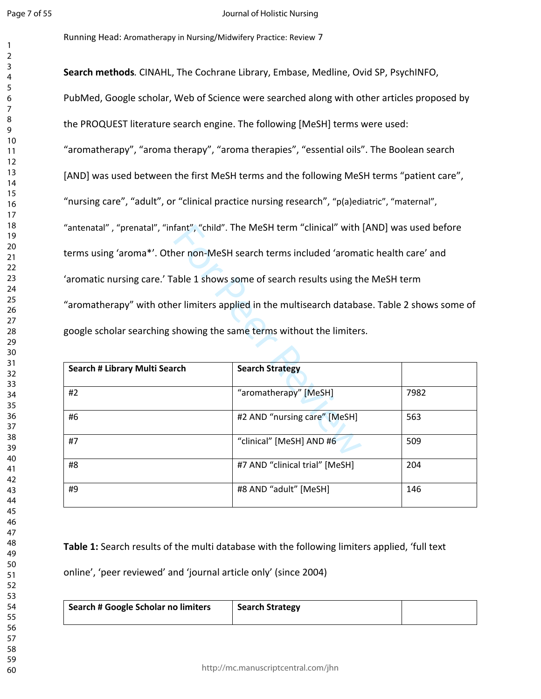Running Head: Aromatherapy in Nursing/Midwifery Practice: Review 7

fant", "child". The MeSH term "clinical" with<br>ner non-MeSH search terms included 'aroma<br>able 1 shows some of search results using th<br>er limiters applied in the multisearch databa<br>showing the same terms without the limiters **Search methods** *.* CINAHL, The Cochrane Library, Embase, Medline, Ovid SP, PsychINFO, PubMed, Google scholar, Web of Science were searched along with other articles proposed by the PROQUEST literature search engine. The following [MeSH] terms were used: "aromatherapy", "aroma therapy", "aroma therapies", "essential oils". The Boolean search [AND] was used between the first MeSH terms and the following MeSH terms "patient care", "nursing care", "adult", or "clinical practice nursing research", "p(a)ediatric", "maternal", "antenatal" , "prenatal", "infant", "child". The MeSH term "clinical" with [AND] was used before terms using 'aroma\*'. Other non-MeSH search terms included 'aromatic health care' and 'aromatic nursing care.' Table 1 shows some of search results using the MeSH term "aromatherapy" with other limiters applied in the multisearch database. Table 2 shows some of google scholar searching showing the same terms without the limiters.

| Search # Library Multi Search | <b>Search Strategy</b>         |      |
|-------------------------------|--------------------------------|------|
| #2                            | "aromatherapy" [MeSH]          | 7982 |
| #6                            | #2 AND "nursing care" [MeSH]   | 563  |
| #7                            | "clinical" [MeSH] AND #6       | 509  |
| #8                            | #7 AND "clinical trial" [MeSH] | 204  |
| #9                            | #8 AND "adult" [MeSH]          | 146  |

**Table 1:** Search results of the multi database with the following limiters applied, 'full text

online', 'peer reviewed' and 'journal article only' (since 2004)

| <sup>1</sup> Search # Google Scholar no limiters | <b>Search Strategy</b> |  |
|--------------------------------------------------|------------------------|--|
|                                                  |                        |  |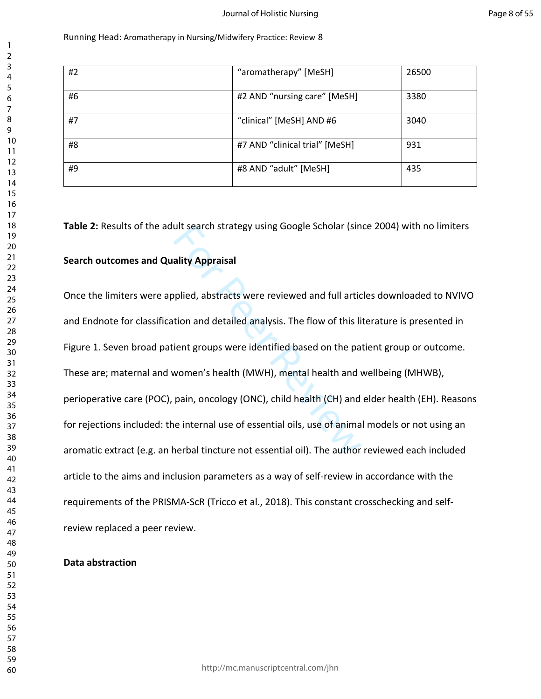| #2 | "aromatherapy" [MeSH]          | 26500 |
|----|--------------------------------|-------|
| #6 | #2 AND "nursing care" [MeSH]   | 3380  |
| #7 | "clinical" [MeSH] AND #6       | 3040  |
| #8 | #7 AND "clinical trial" [MeSH] | 931   |
| #9 | #8 AND "adult" [MeSH]          | 435   |

**Table 2:** Results of the adult search strategy using Google Scholar (since 2004) with no limiters

## **Search outcomes and Quality Appraisal**

ult search strategy using Google Scholar (sin<br>ality Appraisal<br>plied, abstracts were reviewed and full artic<br>tion and detailed analysis. The flow of this li<br>ient groups were identified based on the pa<br>women's health (MWH), Once the limiters were applied, abstracts were reviewed and full articles downloaded to NVIVO and Endnote for classification and detailed analysis. The flow of this literature is presented in Figure 1. Seven broad patient groups were identified based on the patient group or outcome. These are; maternal and women's health (MWH), mental health and wellbeing (MHWB), perioperative care (POC), pain, oncology (ONC), child health (CH) and elder health (EH). Reasons for rejections included: the internal use of essential oils, use of animal models or not using an aromatic extract (e.g. an herbal tincture not essential oil). The author reviewed each included article to the aims and inclusion parameters as a way of self-review in accordance with the requirements of the PRISMA-ScR (Tricco et al., 2018). This constant crosschecking and selfreview replaced a peer review.

## **Data abstraction**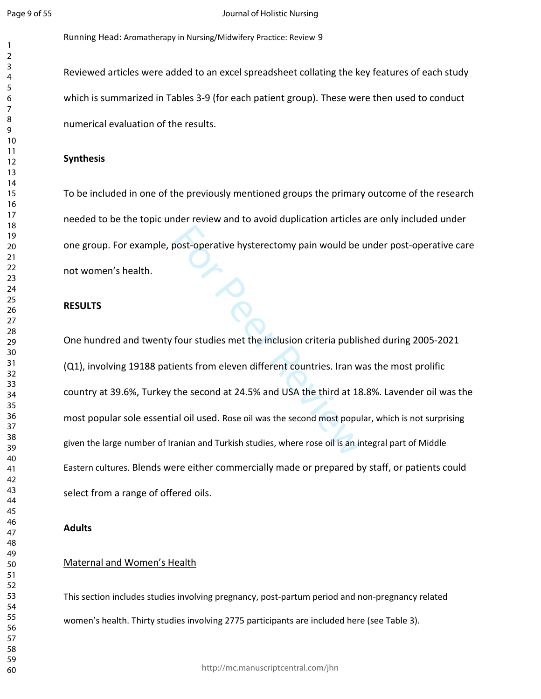$\mathbf{1}$  $\overline{2}$  Running Head: Aromatherapy in Nursing/Midwifery Practice: Review 9

Reviewed articles were added to an excel spreadsheet collating the key features of each study which is summarized in Tables 3-9 (for each patient group). These were then used to conduct numerical evaluation of the results.

#### **Synthesis**

To be included in one of the previously mentioned groups the primary outcome of the research needed to be the topic under review and to avoid duplication articles are only included under one group. For example, post-operative hysterectomy pain would be under post-operative care not women's health.

#### **RESULTS**

For Perative hysterectomy pain would be<br>four studies met the inclusion criteria publis<br>ients from eleven different countries. Iran w<br>the second at 24.5% and USA the third at 18<br>al oil used. Rose oil was the second most pop One hundred and twenty four studies met the inclusion criteria published during 2005-2021 (Q1), involving 19188 patients from eleven different countries. Iran was the most prolific country at 39.6%, Turkey the second at 24.5% and USA the third at 18.8%. Lavender oil was the most popular sole essential oil used. Rose oil was the second most popular, which is not surprising given the large number of Iranian and Turkish studies, where rose oil is an integral part of Middle Eastern cultures. Blends were either commercially made or prepared by staff, or patients could select from a range of offered oils.

#### **Adults**

## Maternal and Women's Health

This section includes studies involving pregnancy, post-partum period and non-pregnancy related women's health. Thirty studies involving 2775 participants are included here (see Table 3).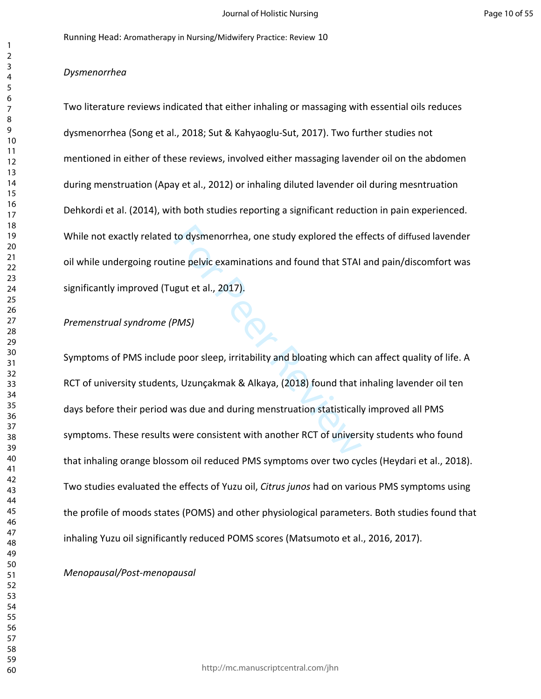## *Dysmenorrhea*

Two literature reviews indicated that either inhaling or massaging with essential oils reduces dysmenorrhea (Song et al., 2018; Sut & Kahyaoglu-Sut, 2017). Two further studies not mentioned in either of these reviews, involved either massaging lavender oil on the abdomen during menstruation (Apay et al., 2012) or inhaling diluted lavender oil during mesntruation Dehkordi et al. (2014), with both studies reporting a significant reduction in pain experienced. While not exactly related to dysmenorrhea, one study explored the effects of diffused lavender oil while undergoing routine pelvic examinations and found that STAI and pain/discomfort was significantly improved (Tugut et al., 2017).

## *Premenstrual syndrome (PMS)*

to dysmenorrhea, one study explored the et<br>ine pelvic examinations and found that STAI<br>gut et al., 2017).<br>PMS)<br>e poor sleep, irritability and bloating which c<br>s, Uzunçakmak & Alkaya, (2018) found that i<br>was due and during Symptoms of PMS include poor sleep, irritability and bloating which can affect quality of life. A RCT of university students, Uzunçakmak & Alkaya, (2018) found that inhaling lavender oil ten days before their period was due and during menstruation statistically improved all PMS symptoms. These results were consistent with another RCT of university students who found that inhaling orange blossom oil reduced PMS symptoms over two cycles (Heydari et al., 2018). Two studies evaluated the effects of Yuzu oil, *Citrus junos* had on various PMS symptoms using the profile of moods states (POMS) and other physiological parameters. Both studies found that inhaling Yuzu oil significantly reduced POMS scores (Matsumoto et al., 2016, 2017).

*Menopausal/Post-menopausal*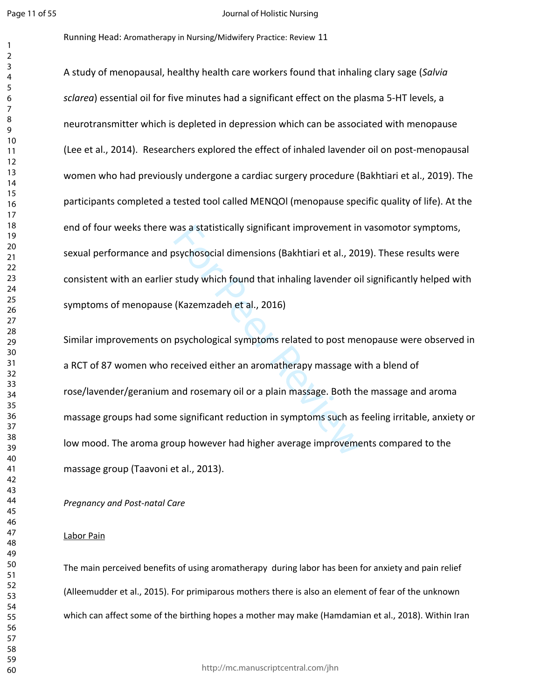#### Journal of Holistic Nursing

Running Head: Aromatherapy in Nursing/Midwifery Practice: Review 11

A study of menopausal, healthy health care workers found that inhaling clary sage (*Salvia sclarea*) essential oil for five minutes had a significant effect on the plasma 5-HT levels, a neurotransmitter which is depleted in depression which can be associated with menopause (Lee et al., 2014). Researchers explored the effect of inhaled lavender oil on post-menopausal women who had previously undergone a cardiac surgery procedure (Bakhtiari et al., 2019). The participants completed a tested tool called MENQOl (menopause specific quality of life). At the end of four weeks there was a statistically significant improvement in vasomotor symptoms, sexual performance and psychosocial dimensions (Bakhtiari et al., 2019). These results were consistent with an earlier study which found that inhaling lavender oil significantly helped with symptoms of menopause (Kazemzadeh et al., 2016)

was a statistically significant improvement in<br>sychosocial dimensions (Bakhtiari et al., 201<br>study which found that inhaling lavender oi<br>(Kazemzadeh et al., 2016)<br>psychological symptoms related to post mereceived either an Similar improvements on psychological symptoms related to post menopause were observed in a RCT of 87 women who received either an aromatherapy massage with a blend of rose/lavender/geranium and rosemary oil or a plain massage. Both the massage and aroma massage groups had some significant reduction in symptoms such as feeling irritable, anxiety or low mood. The aroma group however had higher average improvements compared to the massage group (Taavoni et al., 2013).

*Pregnancy and Post-natal Care*

## Labor Pain

The main perceived benefits of using aromatherapy during labor has been for anxiety and pain relief (Alleemudder et al., 2015). For primiparous mothers there is also an element of fear of the unknown which can affect some of the birthing hopes a mother may make (Hamdamian et al., 2018). Within Iran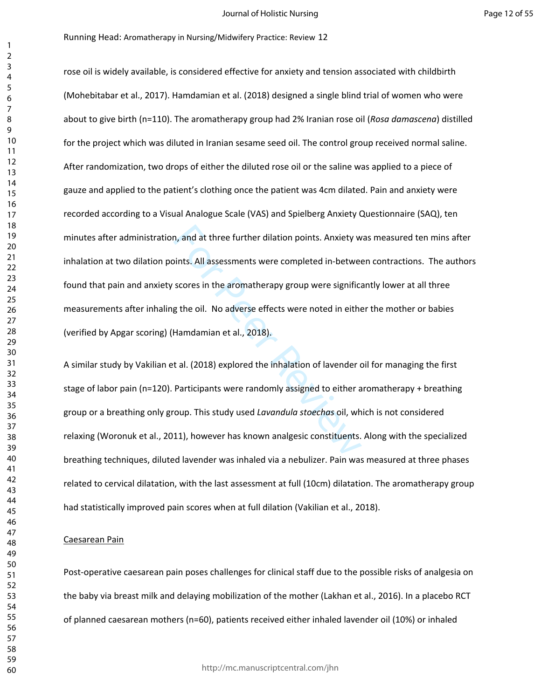m, and at three further dilation points. Anxiety w<br>
sints. All assessments were completed in-betwee<br>
scores in the aromatherapy group were significant<br>
g the oil. No adverse effects were noted in either<br>
Hamdamian et al., rose oil is widely available, is considered effective for anxiety and tension associated with childbirth (Mohebitabar et al., 2017). Hamdamian et al. (2018) designed a single blind trial of women who were about to give birth (n=110). The aromatherapy group had 2% Iranian rose oil (*Rosa damascena*) distilled for the project which was diluted in Iranian sesame seed oil. The control group received normal saline. After randomization, two drops of either the diluted rose oil or the saline was applied to a piece of gauze and applied to the patient's clothing once the patient was 4cm dilated. Pain and anxiety were recorded according to a Visual Analogue Scale (VAS) and Spielberg Anxiety Questionnaire (SAQ), ten minutes after administration, and at three further dilation points. Anxiety was measured ten mins after inhalation at two dilation points. All assessments were completed in-between contractions. The authors found that pain and anxiety scores in the aromatherapy group were significantly lower at all three measurements after inhaling the oil. No adverse effects were noted in either the mother or babies (verified by Apgar scoring) (Hamdamian et al., 2018).

A similar study by Vakilian et al. (2018) explored the inhalation of lavender oil for managing the first stage of labor pain (n=120). Participants were randomly assigned to either aromatherapy + breathing group or a breathing only group. This study used *Lavandula stoechas* oil, which is not considered relaxing (Woronuk et al., 2011), however has known analgesic constituents. Along with the specialized breathing techniques, diluted lavender was inhaled via a nebulizer. Pain was measured at three phases related to cervical dilatation, with the last assessment at full (10cm) dilatation. The aromatherapy group had statistically improved pain scores when at full dilation (Vakilian et al., 2018).

#### Caesarean Pain

Post-operative caesarean pain poses challenges for clinical staff due to the possible risks of analgesia on the baby via breast milk and delaying mobilization of the mother (Lakhan et al., 2016). In a placebo RCT of planned caesarean mothers (n=60), patients received either inhaled lavender oil (10%) or inhaled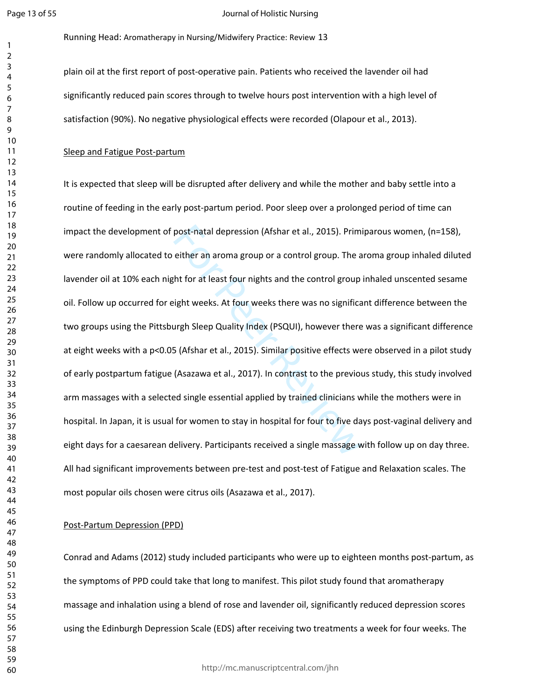#### Journal of Holistic Nursing

Running Head: Aromatherapy in Nursing/Midwifery Practice: Review 13

plain oil at the first report of post-operative pain. Patients who received the lavender oil had significantly reduced pain scores through to twelve hours post intervention with a high level of satisfaction (90%). No negative physiological effects were recorded (Olapour et al., 2013).

## Sleep and Fatigue Post-partum

post-natal depression (Afshar et al., 2015). Prim<br>either an aroma group or a control group. The a<br>ht for at least four nights and the control group<br>ight weeks. At four weeks there was no significa<br>urgh Sleep Quality Index It is expected that sleep will be disrupted after delivery and while the mother and baby settle into a routine of feeding in the early post-partum period. Poor sleep over a prolonged period of time can impact the development of post-natal depression (Afshar et al., 2015). Primiparous women, (n=158), were randomly allocated to either an aroma group or a control group. The aroma group inhaled diluted lavender oil at 10% each night for at least four nights and the control group inhaled unscented sesame oil. Follow up occurred for eight weeks. At four weeks there was no significant difference between the two groups using the Pittsburgh Sleep Quality Index (PSQUI), however there was a significant difference at eight weeks with a p<0.05 (Afshar et al., 2015). Similar positive effects were observed in a pilot study of early postpartum fatigue (Asazawa et al., 2017). In contrast to the previous study, this study involved arm massages with a selected single essential applied by trained clinicians while the mothers were in hospital. In Japan, it is usual for women to stay in hospital for four to five days post-vaginal delivery and eight days for a caesarean delivery. Participants received a single massage with follow up on day three. All had significant improvements between pre-test and post-test of Fatigue and Relaxation scales. The most popular oils chosen were citrus oils (Asazawa et al., 2017).

## Post-Partum Depression (PPD)

Conrad and Adams (2012) study included participants who were up to eighteen months post-partum, as the symptoms of PPD could take that long to manifest. This pilot study found that aromatherapy massage and inhalation using a blend of rose and lavender oil, significantly reduced depression scores using the Edinburgh Depression Scale (EDS) after receiving two treatments a week for four weeks. The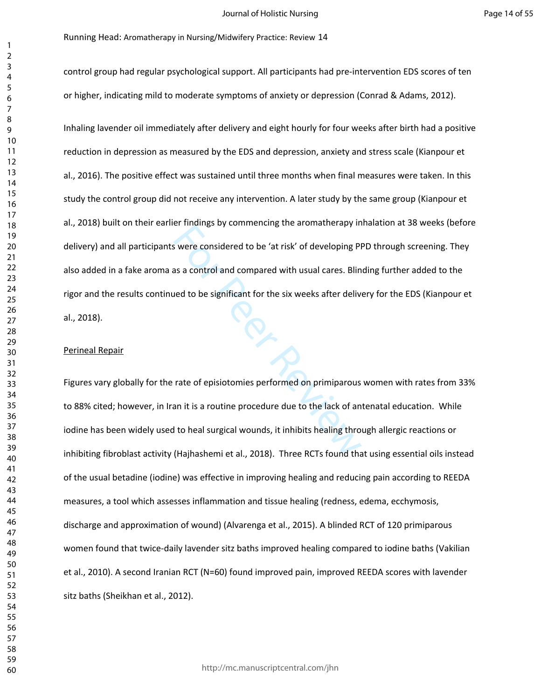control group had regular psychological support. All participants had pre-intervention EDS scores of ten or higher, indicating mild to moderate symptoms of anxiety or depression (Conrad & Adams, 2012).

Ermann<sub>gs</sub> by commenting the aromatherapy in<br>s were considered to be 'at risk' of developing PI<br>as a control and compared with usual cares. Blin<br>ned to be significant for the six weeks after delive<br>rate of episiotomies per Inhaling lavender oil immediately after delivery and eight hourly for four weeks after birth had a positive reduction in depression as measured by the EDS and depression, anxiety and stress scale (Kianpour et al., 2016). The positive effect was sustained until three months when final measures were taken. In this study the control group did not receive any intervention. A later study by the same group (Kianpour et al., 2018) built on their earlier findings by commencing the aromatherapy inhalation at 38 weeks (before delivery) and all participants were considered to be 'at risk' of developing PPD through screening. They also added in a fake aroma as a control and compared with usual cares. Blinding further added to the rigor and the results continued to be significant for the six weeks after delivery for the EDS (Kianpour et al., 2018).

#### Perineal Repair

Figures vary globally for the rate of episiotomies performed on primiparous women with rates from 33% to 88% cited; however, in Iran it is a routine procedure due to the lack of antenatal education. While iodine has been widely used to heal surgical wounds, it inhibits healing through allergic reactions or inhibiting fibroblast activity (Hajhashemi et al., 2018). Three RCTs found that using essential oils instead of the usual betadine (iodine) was effective in improving healing and reducing pain according to REEDA measures, a tool which assesses inflammation and tissue healing (redness, edema, ecchymosis, discharge and approximation of wound) (Alvarenga et al., 2015). A blinded RCT of 120 primiparous women found that twice-daily lavender sitz baths improved healing compared to iodine baths (Vakilian et al., 2010). A second Iranian RCT (N=60) found improved pain, improved REEDA scores with lavender sitz baths (Sheikhan et al., 2012).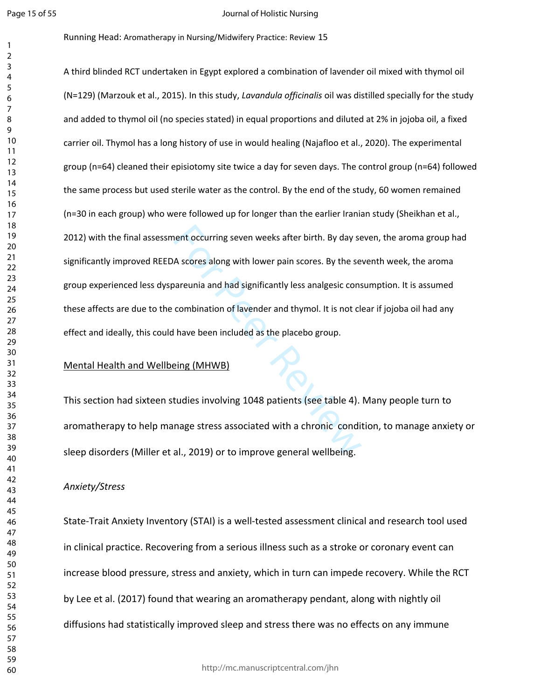#### Journal of Holistic Nursing

#### Running Head: Aromatherapy in Nursing/Midwifery Practice: Review 15

nent occurring seven weeks after birth. By day se<br>A scores along with lower pain scores. By the se<br>pareunia and had significantly less analgesic cons<br>combination of lavender and thymol. It is not cl<br>have been included as t A third blinded RCT undertaken in Egypt explored a combination of lavender oil mixed with thymol oil (N=129) (Marzouk et al., 2015). In this study, *Lavandula officinalis* oil was distilled specially for the study and added to thymol oil (no species stated) in equal proportions and diluted at 2% in jojoba oil, a fixed carrier oil. Thymol has a long history of use in would healing (Najafloo et al., 2020). The experimental group (n=64) cleaned their episiotomy site twice a day for seven days. The control group (n=64) followed the same process but used sterile water as the control. By the end of the study, 60 women remained (n=30 in each group) who were followed up for longer than the earlier Iranian study (Sheikhan et al., 2012) with the final assessment occurring seven weeks after birth. By day seven, the aroma group had significantly improved REEDA scores along with lower pain scores. By the seventh week, the aroma group experienced less dyspareunia and had significantly less analgesic consumption. It is assumed these affects are due to the combination of lavender and thymol. It is not clear if jojoba oil had any effect and ideally, this could have been included as the placebo group.

## Mental Health and Wellbeing (MHWB)

This section had sixteen studies involving 1048 patients (see table 4). Many people turn to aromatherapy to help manage stress associated with a chronic condition, to manage anxiety or sleep disorders (Miller et al., 2019) or to improve general wellbeing.

## *Anxiety/Stress*

State-Trait Anxiety Inventory (STAI) is a well-tested assessment clinical and research tool used in clinical practice. Recovering from a serious illness such as a stroke or coronary event can increase blood pressure, stress and anxiety, which in turn can impede recovery. While the RCT by Lee et al. (2017) found that wearing an aromatherapy pendant, along with nightly oil diffusions had statistically improved sleep and stress there was no effects on any immune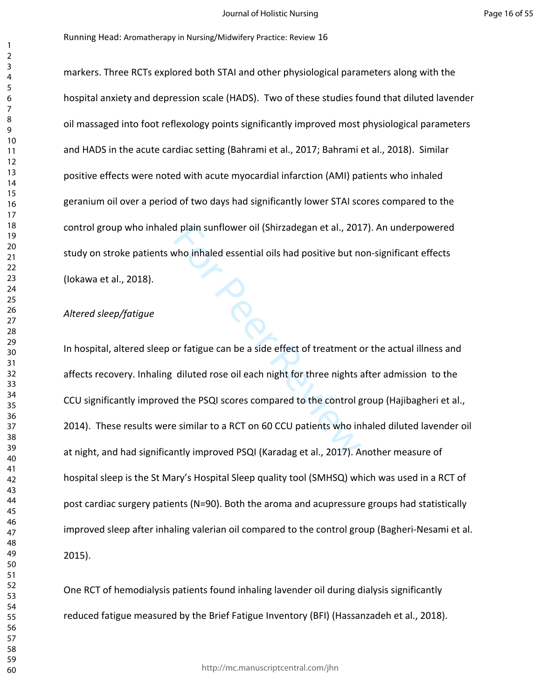markers. Three RCTs explored both STAI and other physiological parameters along with the hospital anxiety and depression scale (HADS). Two of these studies found that diluted lavender oil massaged into foot reflexology points significantly improved most physiological parameters and HADS in the acute cardiac setting (Bahrami et al., 2017; Bahrami et al., 2018). Similar positive effects were noted with acute myocardial infarction (AMI) patients who inhaled geranium oil over a period of two days had significantly lower STAI scores compared to the control group who inhaled plain sunflower oil (Shirzadegan et al., 2017). An underpowered study on stroke patients who inhaled essential oils had positive but non-significant effects (Iokawa et al., 2018).

## *Altered sleep/fatigue*

d plain sunflower oil (Shirzadegan et al., 201<br>who inhaled essential oils had positive but no<br>nor fatigue can be a side effect of treatment of<br>diluted rose oil each night for three nights a<br>d the PSQI scores compared to th In hospital, altered sleep or fatigue can be a side effect of treatment or the actual illness and affects recovery. Inhaling diluted rose oil each night for three nights after admission to the CCU significantly improved the PSQI scores compared to the control group (Hajibagheri et al., 2014). These results were similar to a RCT on 60 CCU patients who inhaled diluted lavender oil at night, and had significantly improved PSQI (Karadag et al., 2017). Another measure of hospital sleep is the St Mary's Hospital Sleep quality tool (SMHSQ) which was used in a RCT of post cardiac surgery patients (N=90). Both the aroma and acupressure groups had statistically improved sleep after inhaling valerian oil compared to the control group (Bagheri-Nesami et al. 2015).

One RCT of hemodialysis patients found inhaling lavender oil during dialysis significantly reduced fatigue measured by the Brief Fatigue Inventory (BFI) (Hassanzadeh et al., 2018).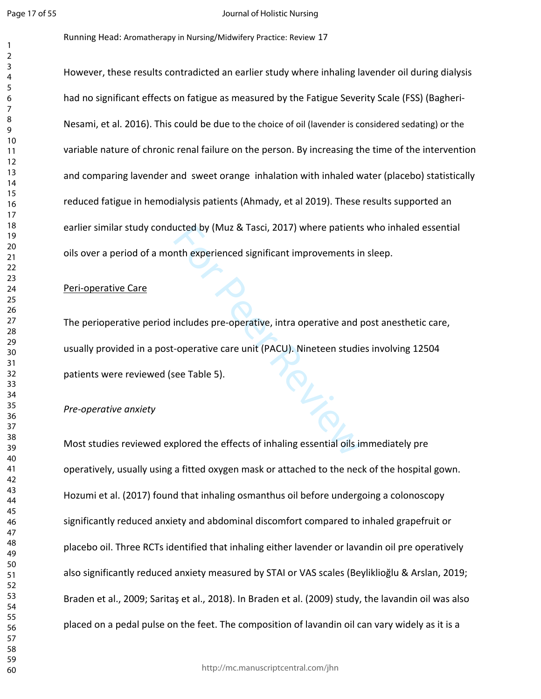$\mathbf{1}$  $\overline{2}$ 

#### Journal of Holistic Nursing

Running Head: Aromatherapy in Nursing/Midwifery Practice: Review 17

However, these results contradicted an earlier study where inhaling lavender oil during dialysis had no significant effects on fatigue as measured by the Fatigue Severity Scale (FSS) (Bagheri-Nesami, et al. 2016). This could be due to the choice of oil (lavender is considered sedating) or the variable nature of chronic renal failure on the person. By increasing the time of the intervention and comparing lavender and sweet orange inhalation with inhaled water (placebo) statistically reduced fatigue in hemodialysis patients (Ahmady, et al 2019). These results supported an earlier similar study conducted by (Muz & Tasci, 2017) where patients who inhaled essential oils over a period of a month experienced significant improvements in sleep.

## Peri-operative Care

PL. The perioperative period includes pre-operative, intra operative and post anesthetic care, usually provided in a post-operative care unit (PACU). Nineteen studies involving 12504 patients were reviewed (see Table 5).

## *Pre-operative anxiety*

Most studies reviewed explored the effects of inhaling essential oils immediately pre operatively, usually using a fitted oxygen mask or attached to the neck of the hospital gown. Hozumi et al. (2017) found that inhaling osmanthus oil before undergoing a colonoscopy significantly reduced anxiety and abdominal discomfort compared to inhaled grapefruit or placebo oil. Three RCTs identified that inhaling either lavender or lavandin oil pre operatively also significantly reduced anxiety measured by STAI or VAS scales (Beyliklioğlu & Arslan, 2019; Braden et al., 2009; Saritaş et al., 2018). In Braden et al. (2009) study, the lavandin oil was also placed on a pedal pulse on the feet. The composition of lavandin oil can vary widely as it is a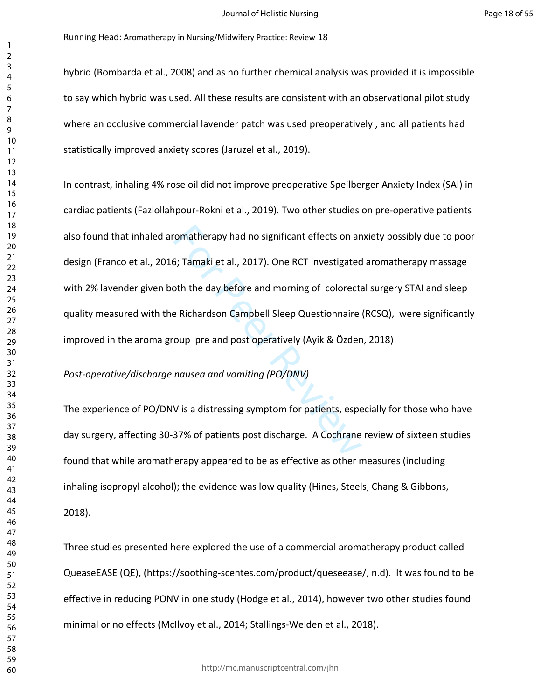hybrid (Bombarda et al., 2008) and as no further chemical analysis was provided it is impossible to say which hybrid was used. All these results are consistent with an observational pilot study where an occlusive commercial lavender patch was used preoperatively , and all patients had statistically improved anxiety scores (Jaruzel et al., 2019).

Formatherapy had no significant effects on an<br>
5; Tamaki et al., 2017). One RCT investigated<br>
2017 one RCT investigated<br>
2017 one RCT investigated<br>
2018 Political Meridian Contraine<br>
2019 pre and post operatively (Ayik & Ö In contrast, inhaling 4% rose oil did not improve preoperative Speilberger Anxiety Index (SAI) in cardiac patients (Fazlollahpour-Rokni et al., 2019). Two other studies on pre-operative patients also found that inhaled aromatherapy had no significant effects on anxiety possibly due to poor design (Franco et al., 2016; Tamaki et al., 2017). One RCT investigated aromatherapy massage with 2% lavender given both the day before and morning of colorectal surgery STAI and sleep quality measured with the Richardson Campbell Sleep Questionnaire (RCSQ), were significantly improved in the aroma group pre and post operatively (Ayik & Özden, 2018)

*Post-operative/discharge nausea and vomiting (PO/DNV)*

The experience of PO/DNV is a distressing symptom for patients, especially for those who have day surgery, affecting 30-37% of patients post discharge. A Cochrane review of sixteen studies found that while aromatherapy appeared to be as effective as other measures (including inhaling isopropyl alcohol); the evidence was low quality (Hines, Steels, Chang & Gibbons, 2018).

Three studies presented here explored the use of a commercial aromatherapy product called QueaseEASE (QE), (https://soothing-scentes.com/product/queseease/, n.d). It was found to be effective in reducing PONV in one study (Hodge et al., 2014), however two other studies found minimal or no effects (McIlvoy et al., 2014; Stallings-Welden et al., 2018).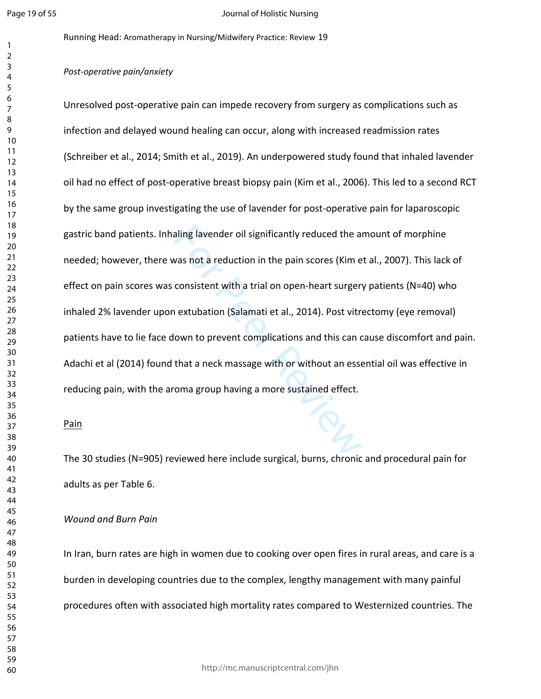#### Journal of Holistic Nursing

Running Head: Aromatherapy in Nursing/Midwifery Practice: Review 19

## *Post-operative pain/anxiety*

aling lavender oil significantly reduced the a<br>vas not a reduction in the pain scores (Kim e<br>consistent with a trial on open-heart surger<br>in extubation (Salamati et al., 2014). Post vitri<br>lown to prevent complications and Unresolved post-operative pain can impede recovery from surgery as complications such as infection and delayed wound healing can occur, along with increased readmission rates (Schreiber et al., 2014; Smith et al., 2019). An underpowered study found that inhaled lavender oil had no effect of post-operative breast biopsy pain (Kim et al., 2006). This led to a second RCT by the same group investigating the use of lavender for post-operative pain for laparoscopic gastric band patients. Inhaling lavender oil significantly reduced the amount of morphine needed; however, there was not a reduction in the pain scores (Kim et al., 2007). This lack of effect on pain scores was consistent with a trial on open-heart surgery patients (N=40) who inhaled 2% lavender upon extubation (Salamati et al., 2014). Post vitrectomy (eye removal) patients have to lie face down to prevent complications and this can cause discomfort and pain. Adachi et al (2014) found that a neck massage with or without an essential oil was effective in reducing pain, with the aroma group having a more sustained effect.

## Pain

The 30 studies (N=905) reviewed here include surgical, burns, chronic and procedural pain for adults as per Table 6.

## *Wound and Burn Pain*

In Iran, burn rates are high in women due to cooking over open fires in rural areas, and care is a burden in developing countries due to the complex, lengthy management with many painful procedures often with associated high mortality rates compared to Westernized countries. The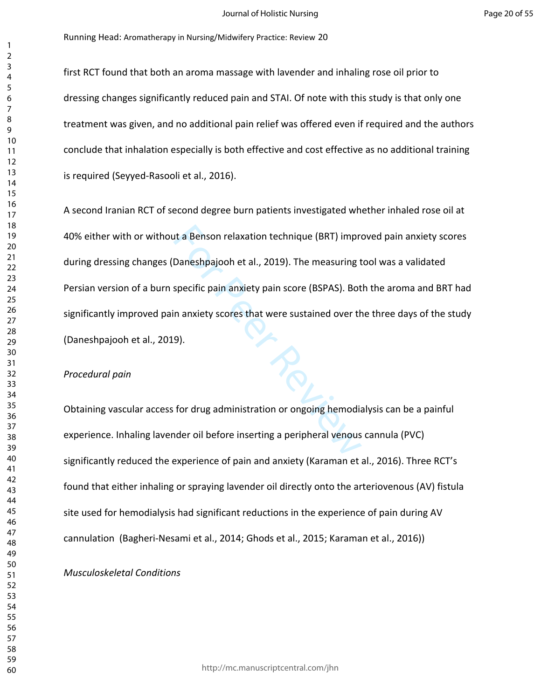first RCT found that both an aroma massage with lavender and inhaling rose oil prior to dressing changes significantly reduced pain and STAI. Of note with this study is that only one treatment was given, and no additional pain relief was offered even if required and the authors conclude that inhalation especially is both effective and cost effective as no additional training is required (Seyyed-Rasooli et al., 2016).

It a Benson relaxation technique (BRT) impro<br>
Daneshpajooh et al., 2019). The measuring t<br>
specific pain anxiety pain score (BSPAS). Bot<br>
n anxiety scores that were sustained over th<br>
9).<br>
Specific pain anxiety scores that A second Iranian RCT of second degree burn patients investigated whether inhaled rose oil at 40% either with or without a Benson relaxation technique (BRT) improved pain anxiety scores during dressing changes (Daneshpajooh et al., 2019). The measuring tool was a validated Persian version of a burn specific pain anxiety pain score (BSPAS). Both the aroma and BRT had significantly improved pain anxiety scores that were sustained over the three days of the study (Daneshpajooh et al., 2019).

## *Procedural pain*

Obtaining vascular access for drug administration or ongoing hemodialysis can be a painful experience. Inhaling lavender oil before inserting a peripheral venous cannula (PVC) significantly reduced the experience of pain and anxiety (Karaman et al., 2016). Three RCT's found that either inhaling or spraying lavender oil directly onto the arteriovenous (AV) fistula site used for hemodialysis had significant reductions in the experience of pain during AV cannulation (Bagheri-Nesami et al., 2014; Ghods et al., 2015; Karaman et al., 2016))

*Musculoskeletal Conditions*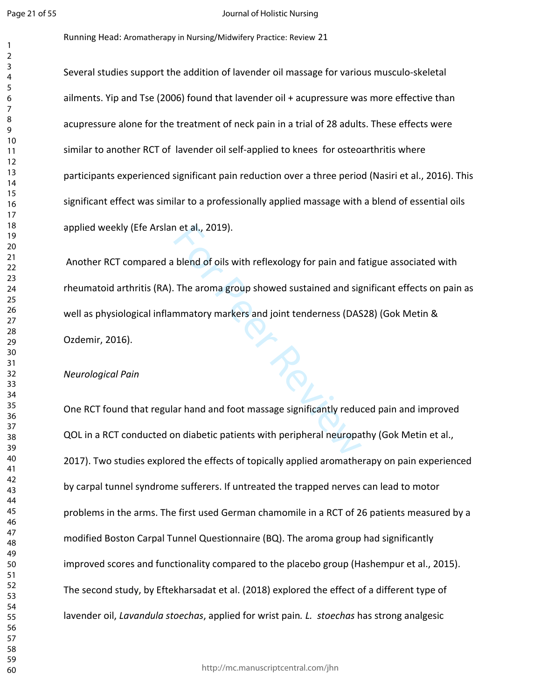#### Journal of Holistic Nursing

Running Head: Aromatherapy in Nursing/Midwifery Practice: Review 21

Several studies support the addition of lavender oil massage for various musculo-skeletal ailments. Yip and Tse (2006) found that lavender oil + acupressure was more effective than acupressure alone for the treatment of neck pain in a trial of 28 adults. These effects were similar to another RCT of lavender oil self-applied to knees for osteoarthritis where participants experienced significant pain reduction over a three period (Nasiri et al., 2016). This significant effect was similar to a professionally applied massage with a blend of essential oils applied weekly (Efe Arslan et al., 2019).

The aroma group showed sustained and signal<br>The aroma group showed sustained and signal<br>mematory markers and joint tenderness (DAS<br>The aroma group showed sustained and signal<br>members of the state of the signal state of the Another RCT compared a blend of oils with reflexology for pain and fatigue associated with rheumatoid arthritis (RA). The aroma group showed sustained and significant effects on pain as well as physiological inflammatory markers and joint tenderness (DAS28) (Gok Metin & Ozdemir, 2016).

## *Neurological Pain*

One RCT found that regular hand and foot massage significantly reduced pain and improved QOL in a RCT conducted on diabetic patients with peripheral neuropathy (Gok Metin et al., 2017). Two studies explored the effects of topically applied aromatherapy on pain experienced by carpal tunnel syndrome sufferers. If untreated the trapped nerves can lead to motor problems in the arms. The first used German chamomile in a RCT of 26 patients measured by a modified Boston Carpal Tunnel Questionnaire (BQ). The aroma group had significantly improved scores and functionality compared to the placebo group (Hashempur et al., 2015). The second study, by Eftekharsadat et al. (2018) explored the effect of a different type of lavender oil, *Lavandula stoechas*, applied for wrist pain*. L. stoechas* has strong analgesic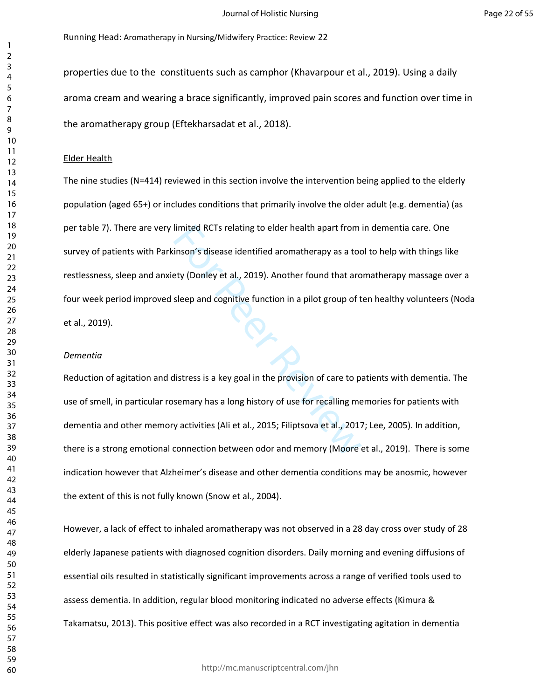properties due to the constituents such as camphor (Khavarpour et al., 2019). Using a daily aroma cream and wearing a brace significantly, improved pain scores and function over time in the aromatherapy group (Eftekharsadat et al., 2018).

#### Elder Health

limited RCTs relating to elder health apart from<br>inson's disease identified aromatherapy as a toc<br>ety (Donley et al., 2019). Another found that aro<br>sleep and cognitive function in a pilot group of t<br>fistress is a key goal The nine studies (N=414) reviewed in this section involve the intervention being applied to the elderly population (aged 65+) or includes conditions that primarily involve the older adult (e.g. dementia) (as per table 7). There are very limited RCTs relating to elder health apart from in dementia care. One survey of patients with Parkinson's disease identified aromatherapy as a tool to help with things like restlessness, sleep and anxiety (Donley et al., 2019). Another found that aromatherapy massage over a four week period improved sleep and cognitive function in a pilot group of ten healthy volunteers (Noda et al., 2019).

#### *Dementia*

Reduction of agitation and distress is a key goal in the provision of care to patients with dementia. The use of smell, in particular rosemary has a long history of use for recalling memories for patients with dementia and other memory activities (Ali et al., 2015; Filiptsova et al., 2017; Lee, 2005). In addition, there is a strong emotional connection between odor and memory (Moore et al., 2019). There is some indication however that Alzheimer's disease and other dementia conditions may be anosmic, however the extent of this is not fully known (Snow et al., 2004).

However, a lack of effect to inhaled aromatherapy was not observed in a 28 day cross over study of 28 elderly Japanese patients with diagnosed cognition disorders. Daily morning and evening diffusions of essential oils resulted in statistically significant improvements across a range of verified tools used to assess dementia. In addition, regular blood monitoring indicated no adverse effects (Kimura & Takamatsu, 2013). This positive effect was also recorded in a RCT investigating agitation in dementia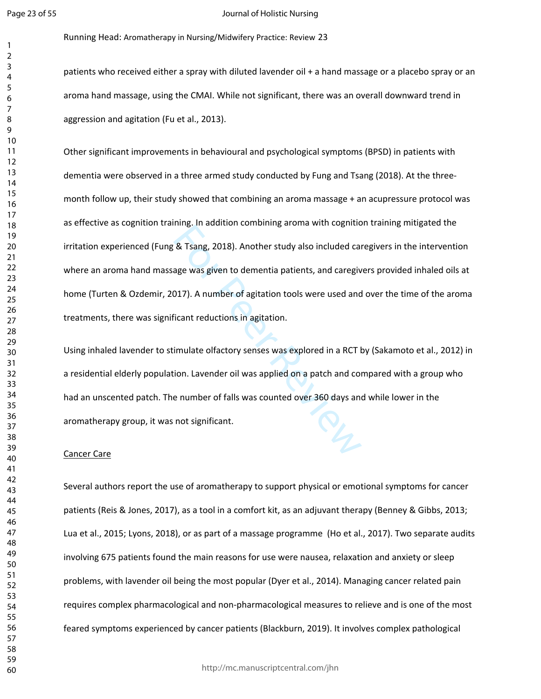#### Journal of Holistic Nursing

Running Head: Aromatherapy in Nursing/Midwifery Practice: Review 23

patients who received either a spray with diluted lavender oil + a hand massage or a placebo spray or an aroma hand massage, using the CMAI. While not significant, there was an overall downward trend in aggression and agitation (Fu et al., 2013).

Revised Strang, 2018). Another study also included carried was given to dementia patients, and carried and age was given to dementia patients, and carried and incomprese was explored in a RCT is<br>included of incompresent re Other significant improvements in behavioural and psychological symptoms (BPSD) in patients with dementia were observed in a three armed study conducted by Fung and Tsang (2018). At the threemonth follow up, their study showed that combining an aroma massage + an acupressure protocol was as effective as cognition training. In addition combining aroma with cognition training mitigated the irritation experienced (Fung & Tsang, 2018). Another study also included caregivers in the intervention where an aroma hand massage was given to dementia patients, and caregivers provided inhaled oils at home (Turten & Ozdemir, 2017). A number of agitation tools were used and over the time of the aroma treatments, there was significant reductions in agitation.

Using inhaled lavender to stimulate olfactory senses was explored in a RCT by (Sakamoto et al., 2012) in a residential elderly population. Lavender oil was applied on a patch and compared with a group who had an unscented patch. The number of falls was counted over 360 days and while lower in the aromatherapy group, it was not significant.

#### Cancer Care

Several authors report the use of aromatherapy to support physical or emotional symptoms for cancer patients (Reis & Jones, 2017), as a tool in a comfort kit, as an adjuvant therapy (Benney & Gibbs, 2013; Lua et al., 2015; Lyons, 2018), or as part of a massage programme (Ho et al., 2017). Two separate audits involving 675 patients found the main reasons for use were nausea, relaxation and anxiety or sleep problems, with lavender oil being the most popular (Dyer et al., 2014). Managing cancer related pain requires complex pharmacological and non-pharmacological measures to relieve and is one of the most feared symptoms experienced by cancer patients (Blackburn, 2019). It involves complex pathological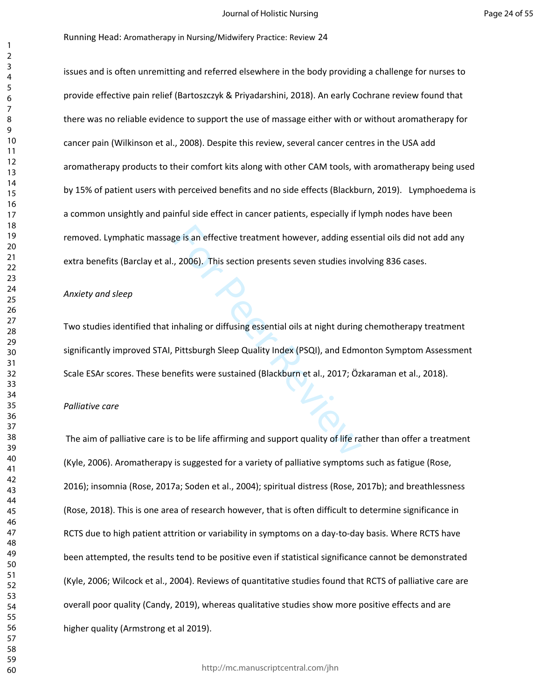issues and is often unremitting and referred elsewhere in the body providing a challenge for nurses to provide effective pain relief (Bartoszczyk & Priyadarshini, 2018). An early Cochrane review found that there was no reliable evidence to support the use of massage either with or without aromatherapy for cancer pain (Wilkinson et al., 2008). Despite this review, several cancer centres in the USA add aromatherapy products to their comfort kits along with other CAM tools, with aromatherapy being used by 15% of patient users with perceived benefits and no side effects (Blackburn, 2019). Lymphoedema is a common unsightly and painful side effect in cancer patients, especially if lymph nodes have been removed. Lymphatic massage is an effective treatment however, adding essential oils did not add any extra benefits (Barclay et al., 2006). This section presents seven studies involving 836 cases.

#### *Anxiety and sleep*

Experience is an effective treatment however, adding ess<br>
2006). This section presents seven studies invertides invertides in the section present<br>
Review Section Section is at night during<br>
Pittsburgh Sleep Quality Index ( Two studies identified that inhaling or diffusing essential oils at night during chemotherapy treatment significantly improved STAI, Pittsburgh Sleep Quality Index (PSQI), and Edmonton Symptom Assessment Scale ESAr scores. These benefits were sustained (Blackburn et al., 2017; Özkaraman et al., 2018).

## *Palliative care*

 The aim of palliative care is to be life affirming and support quality of life rather than offer a treatment (Kyle, 2006). Aromatherapy is suggested for a variety of palliative symptoms such as fatigue (Rose, 2016); insomnia (Rose, 2017a; Soden et al., 2004); spiritual distress (Rose, 2017b); and breathlessness (Rose, 2018). This is one area of research however, that is often difficult to determine significance in RCTS due to high patient attrition or variability in symptoms on a day-to-day basis. Where RCTS have been attempted, the results tend to be positive even if statistical significance cannot be demonstrated (Kyle, 2006; Wilcock et al., 2004). Reviews of quantitative studies found that RCTS of palliative care are overall poor quality (Candy, 2019), whereas qualitative studies show more positive effects and are higher quality (Armstrong et al 2019).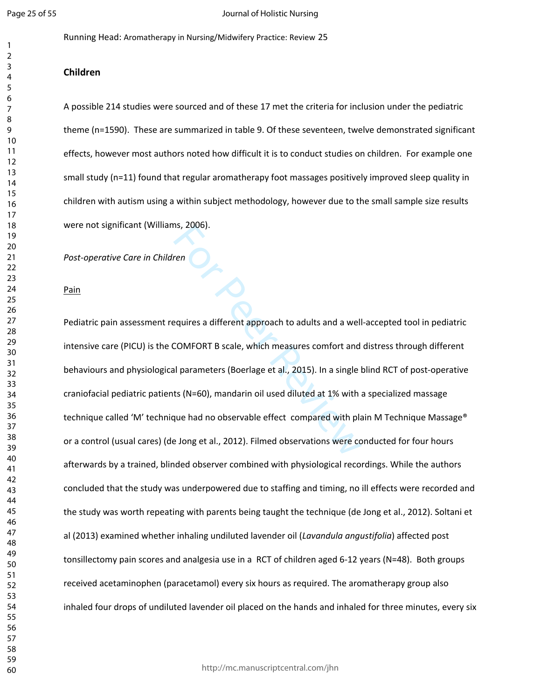Running Head: Aromatherapy in Nursing/Midwifery Practice: Review 25

## **Children**

A possible 214 studies were sourced and of these 17 met the criteria for inclusion under the pediatric theme (n=1590). These are summarized in table 9. Of these seventeen, twelve demonstrated significant effects, however most authors noted how difficult it is to conduct studies on children. For example one small study (n=11) found that regular aromatherapy foot massages positively improved sleep quality in children with autism using a within subject methodology, however due to the small sample size results were not significant (Williams, 2006).

*Post-operative Care in Children*

#### Pain

For Periodicial Subsetional Subsetions, 2006).<br>
For Periodicial Subsetions and a well COMFORT B scale, which measures comfort and<br>
Il parameters (Boerlage et al., 2015). In a single l<br>
ts (N=60), mandarin oil used diluted Pediatric pain assessment requires a different approach to adults and a well-accepted tool in pediatric intensive care (PICU) is the COMFORT B scale, which measures comfort and distress through different behaviours and physiological parameters (Boerlage et al., 2015). In a single blind RCT of post-operative craniofacial pediatric patients (N=60), mandarin oil used diluted at 1% with a specialized massage technique called 'M' technique had no observable effect compared with plain M Technique Massage® or a control (usual cares) (de Jong et al., 2012). Filmed observations were conducted for four hours afterwards by a trained, blinded observer combined with physiological recordings. While the authors concluded that the study was underpowered due to staffing and timing, no ill effects were recorded and the study was worth repeating with parents being taught the technique (de Jong et al., 2012). Soltani et al (2013) examined whether inhaling undiluted lavender oil (*Lavandula angustifolia*) affected post tonsillectomy pain scores and analgesia use in a RCT of children aged 6-12 years (N=48). Both groups received acetaminophen (paracetamol) every six hours as required. The aromatherapy group also inhaled four drops of undiluted lavender oil placed on the hands and inhaled for three minutes, every six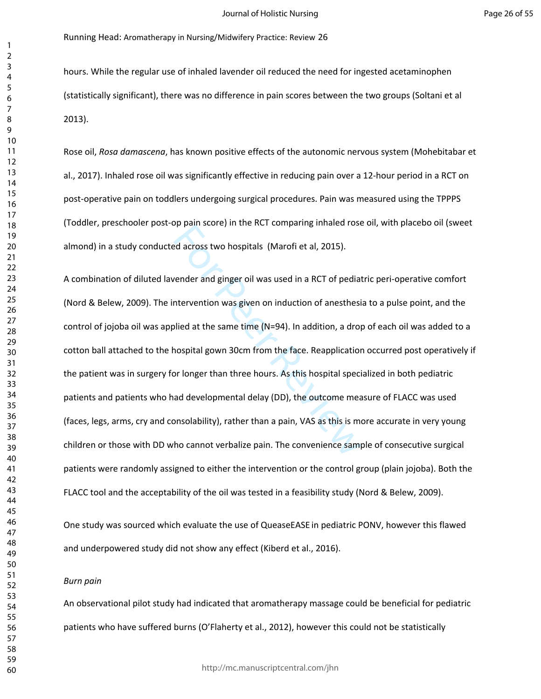hours. While the regular use of inhaled lavender oil reduced the need for ingested acetaminophen (statistically significant), there was no difference in pain scores between the two groups (Soltani et al 2013).

Rose oil, *Rosa damascena*, has known positive effects of the autonomic nervous system (Mohebitabar et al., 2017). Inhaled rose oil was significantly effective in reducing pain over a 12-hour period in a RCT on post-operative pain on toddlers undergoing surgical procedures. Pain was measured using the TPPPS (Toddler, preschooler post-op pain score) in the RCT comparing inhaled rose oil, with placebo oil (sweet almond) in a study conducted across two hospitals (Marofi et al, 2015).

by pain score, in the Net compaining inntact rose<br>ed across two hospitals (Marofi et al, 2015).<br>vender and ginger oil was used in a RCT of pediat<br>intervention was given on induction of anesthesi<br>blied at the same time (N=9 A combination of diluted lavender and ginger oil was used in a RCT of pediatric peri-operative comfort (Nord & Belew, 2009). The intervention was given on induction of anesthesia to a pulse point, and the control of jojoba oil was applied at the same time (N=94). In addition, a drop of each oil was added to a cotton ball attached to the hospital gown 30cm from the face. Reapplication occurred post operatively if the patient was in surgery for longer than three hours. As this hospital specialized in both pediatric patients and patients who had developmental delay (DD), the outcome measure of FLACC was used (faces, legs, arms, cry and consolability), rather than a pain, VAS as this is more accurate in very young children or those with DD who cannot verbalize pain. The convenience sample of consecutive surgical patients were randomly assigned to either the intervention or the control group (plain jojoba). Both the FLACC tool and the acceptability of the oil was tested in a feasibility study (Nord & Belew, 2009).

One study was sourced which evaluate the use of QueaseEASE in pediatric PONV, however this flawed and underpowered study did not show any effect (Kiberd et al., 2016).

*Burn pain*

An observational pilot study had indicated that aromatherapy massage could be beneficial for pediatric patients who have suffered burns (O'Flaherty et al., 2012), however this could not be statistically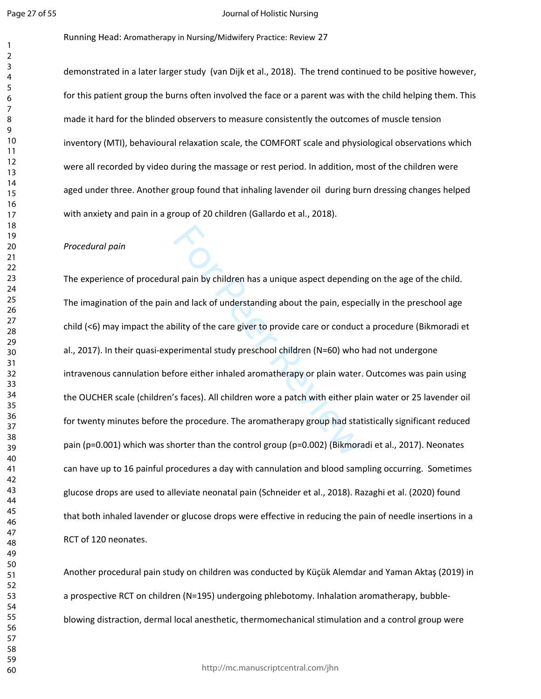#### Journal of Holistic Nursing

Running Head: Aromatherapy in Nursing/Midwifery Practice: Review 27

demonstrated in a later larger study (van Dijk et al., 2018). The trend continued to be positive however, for this patient group the burns often involved the face or a parent was with the child helping them. This made it hard for the blinded observers to measure consistently the outcomes of muscle tension inventory (MTI), behavioural relaxation scale, the COMFORT scale and physiological observations which were all recorded by video during the massage or rest period. In addition, most of the children were aged under three. Another group found that inhaling lavender oil during burn dressing changes helped with anxiety and pain in a group of 20 children (Gallardo et al., 2018).

## *Procedural pain*

al pain by children has a unique aspect dependint<br>and lack of understanding about the pain, espec<br>bility of the care giver to provide care or conduct<br>erimental study preschool children (N=60) who<br>fore either inhaled aromat The experience of procedural pain by children has a unique aspect depending on the age of the child. The imagination of the pain and lack of understanding about the pain, especially in the preschool age child (<6) may impact the ability of the care giver to provide care or conduct a procedure (Bikmoradi et al., 2017). In their quasi-experimental study preschool children (N=60) who had not undergone intravenous cannulation before either inhaled aromatherapy or plain water. Outcomes was pain using the OUCHER scale (children's faces). All children wore a patch with either plain water or 25 lavender oil for twenty minutes before the procedure. The aromatherapy group had statistically significant reduced pain (p=0.001) which was shorter than the control group (p=0.002) (Bikmoradi et al., 2017). Neonates can have up to 16 painful procedures a day with cannulation and blood sampling occurring. Sometimes glucose drops are used to alleviate neonatal pain (Schneider et al., 2018). Razaghi et al. (2020) found that both inhaled lavender or glucose drops were effective in reducing the pain of needle insertions in a RCT of 120 neonates.

Another procedural pain study on children was conducted by Küçük Alemdar and Yaman Aktaş (2019) in a prospective RCT on children (N=195) undergoing phlebotomy. Inhalation aromatherapy, bubbleblowing distraction, dermal local anesthetic, thermomechanical stimulation and a control group were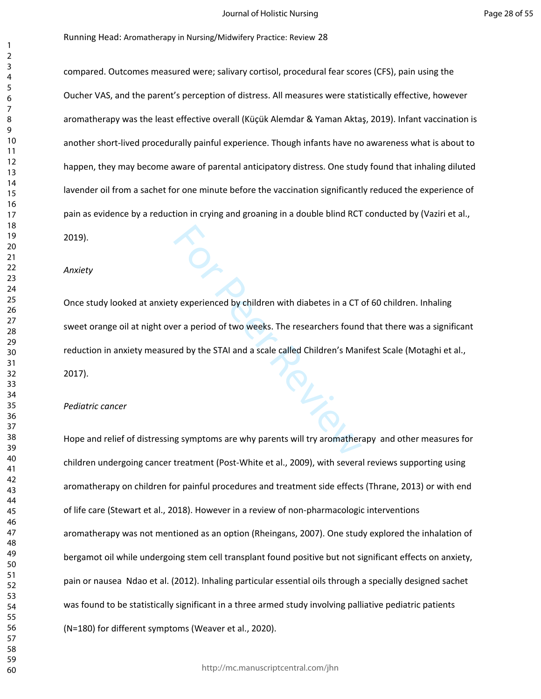compared. Outcomes measured were; salivary cortisol, procedural fear scores (CFS), pain using the Oucher VAS, and the parent's perception of distress. All measures were statistically effective, however aromatherapy was the least effective overall (Küçük Alemdar & Yaman Aktaş, 2019). Infant vaccination is another short-lived procedurally painful experience. Though infants have no awareness what is about to happen, they may become aware of parental anticipatory distress. One study found that inhaling diluted lavender oil from a sachet for one minute before the vaccination significantly reduced the experience of pain as evidence by a reduction in crying and groaning in a double blind RCT conducted by (Vaziri et al.,

2019).

*Anxiety*

Experienced by children with diabetes in a CT of the STAI and a scale called Children's Mann and a scale called Children's Mann and a scale called Children's Mann and a scale called Children's Mann and a scale called Child Once study looked at anxiety experienced by children with diabetes in a CT of 60 children. Inhaling sweet orange oil at night over a period of two weeks. The researchers found that there was a significant reduction in anxiety measured by the STAI and a scale called Children's Manifest Scale (Motaghi et al., 2017).

#### *Pediatric cancer*

Hope and relief of distressing symptoms are why parents will try aromatherapy and other measures for children undergoing cancer treatment (Post-White et al., 2009), with several reviews supporting using aromatherapy on children for painful procedures and treatment side effects (Thrane, 2013) or with end of life care (Stewart et al., 2018). However in a review of non-pharmacologic interventions aromatherapy was not mentioned as an option (Rheingans, 2007). One study explored the inhalation of bergamot oil while undergoing stem cell transplant found positive but not significant effects on anxiety, pain or nausea Ndao et al. (2012). Inhaling particular essential oils through a specially designed sachet was found to be statistically significant in a three armed study involving palliative pediatric patients (N=180) for different symptoms (Weaver et al., 2020).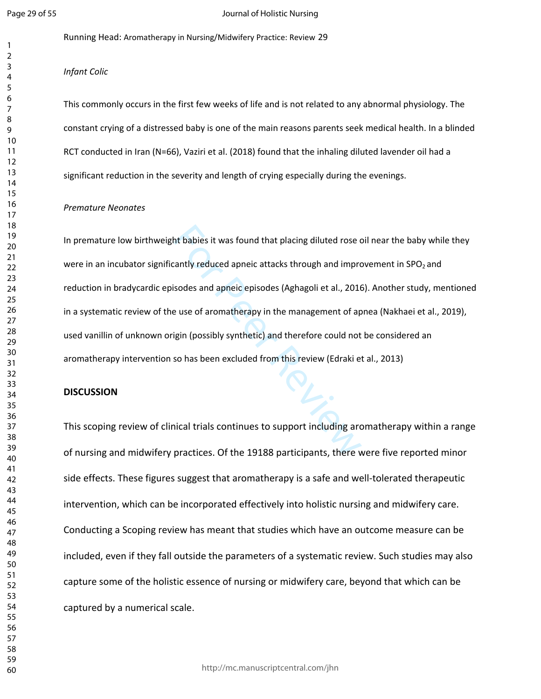$\mathbf{1}$  $\overline{2}$ 

#### Journal of Holistic Nursing

Running Head: Aromatherapy in Nursing/Midwifery Practice: Review 29

*Infant Colic*

This commonly occurs in the first few weeks of life and is not related to any abnormal physiology. The constant crying of a distressed baby is one of the main reasons parents seek medical health. In a blinded RCT conducted in Iran (N=66), Vaziri et al. (2018) found that the inhaling diluted lavender oil had a significant reduction in the severity and length of crying especially during the evenings.

#### *Premature Neonates*

ht babies it was found that placing diluted rose contractly reduced apneic attacks through and improvisodes and apneic episodes (Aghagoli et al., 2016)<br>For Peer Review and appeic episodes (Aghagoli et al., 2016)<br>For Peer R In premature low birthweight babies it was found that placing diluted rose oil near the baby while they were in an incubator significantly reduced apneic attacks through and improvement in  $SPO<sub>2</sub>$  and reduction in bradycardic episodes and apneic episodes (Aghagoli et al., 2016). Another study, mentioned in a systematic review of the use of aromatherapy in the management of apnea (Nakhaei et al., 2019), used vanillin of unknown origin (possibly synthetic) and therefore could not be considered an aromatherapy intervention so has been excluded from this review (Edraki et al., 2013)

## **DISCUSSION**

This scoping review of clinical trials continues to support including aromatherapy within a range of nursing and midwifery practices. Of the 19188 participants, there were five reported minor side effects. These figures suggest that aromatherapy is a safe and well-tolerated therapeutic intervention, which can be incorporated effectively into holistic nursing and midwifery care. Conducting a Scoping review has meant that studies which have an outcome measure can be included, even if they fall outside the parameters of a systematic review. Such studies may also capture some of the holistic essence of nursing or midwifery care, beyond that which can be captured by a numerical scale.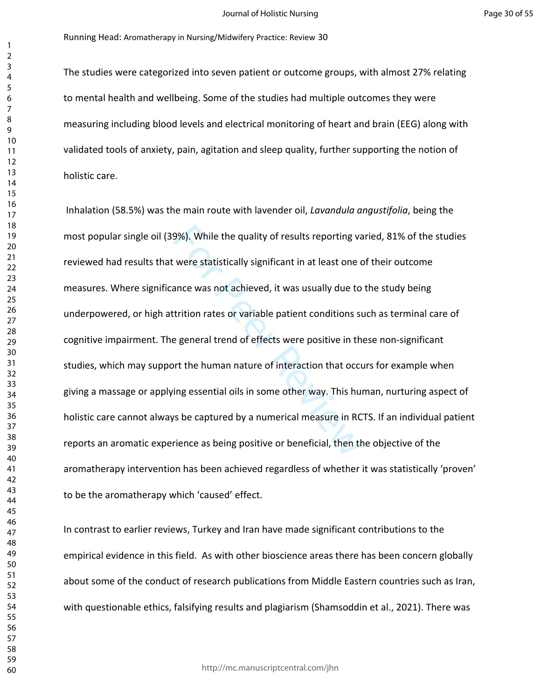The studies were categorized into seven patient or outcome groups, with almost 27% relating to mental health and wellbeing. Some of the studies had multiple outcomes they were measuring including blood levels and electrical monitoring of heart and brain (EEG) along with validated tools of anxiety, pain, agitation and sleep quality, further supporting the notion of holistic care.

9%). While the quality of results reporting va<br>were statistically significant in at least one of<br>ance was not achieved, it was usually due to<br>trition rates or variable patient conditions so<br>e general trend of effects were Inhalation (58.5%) was the main route with lavender oil, *Lavandula angustifolia*, being the most popular single oil (39%). While the quality of results reporting varied, 81% of the studies reviewed had results that were statistically significant in at least one of their outcome measures. Where significance was not achieved, it was usually due to the study being underpowered, or high attrition rates or variable patient conditions such as terminal care of cognitive impairment. The general trend of effects were positive in these non-significant studies, which may support the human nature of interaction that occurs for example when giving a massage or applying essential oils in some other way. This human, nurturing aspect of holistic care cannot always be captured by a numerical measure in RCTS. If an individual patient reports an aromatic experience as being positive or beneficial, then the objective of the aromatherapy intervention has been achieved regardless of whether it was statistically 'proven' to be the aromatherapy which 'caused' effect.

In contrast to earlier reviews, Turkey and Iran have made significant contributions to the empirical evidence in this field. As with other bioscience areas there has been concern globally about some of the conduct of research publications from Middle Eastern countries such as Iran, with questionable ethics, falsifying results and plagiarism (Shamsoddin et al., 2021). There was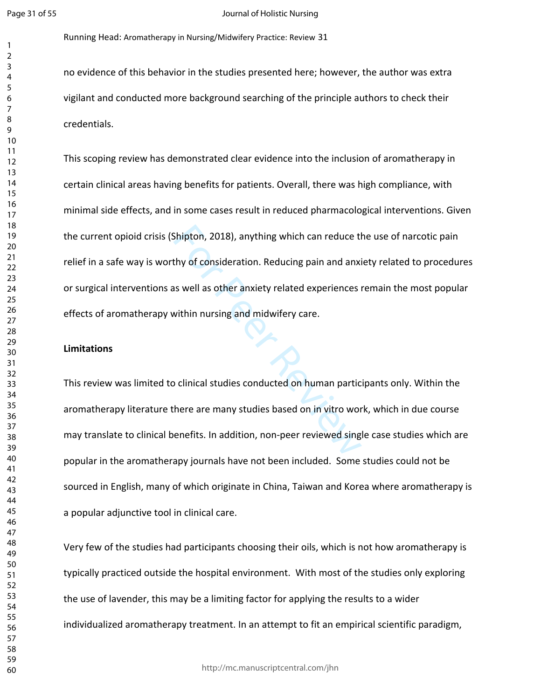#### Journal of Holistic Nursing

Running Head: Aromatherapy in Nursing/Midwifery Practice: Review 31

no evidence of this behavior in the studies presented here; however, the author was extra vigilant and conducted more background searching of the principle authors to check their credentials.

Shipton, 2018), anything which can reduce the<br>thy of consideration. Reducing pain and anxi<br>as well as other anxiety related experiences is<br>within nursing and midwifery care.<br>Dependence of the conducted on human partic<br>ther This scoping review has demonstrated clear evidence into the inclusion of aromatherapy in certain clinical areas having benefits for patients. Overall, there was high compliance, with minimal side effects, and in some cases result in reduced pharmacological interventions. Given the current opioid crisis (Shipton, 2018), anything which can reduce the use of narcotic pain relief in a safe way is worthy of consideration. Reducing pain and anxiety related to procedures or surgical interventions as well as other anxiety related experiences remain the most popular effects of aromatherapy within nursing and midwifery care.

## **Limitations**

This review was limited to clinical studies conducted on human participants only. Within the aromatherapy literature there are many studies based on in vitro work, which in due course may translate to clinical benefits. In addition, non-peer reviewed single case studies which are popular in the aromatherapy journals have not been included. Some studies could not be sourced in English, many of which originate in China, Taiwan and Korea where aromatherapy is a popular adjunctive tool in clinical care.

Very few of the studies had participants choosing their oils, which is not how aromatherapy is typically practiced outside the hospital environment. With most of the studies only exploring the use of lavender, this may be a limiting factor for applying the results to a wider individualized aromatherapy treatment. In an attempt to fit an empirical scientific paradigm,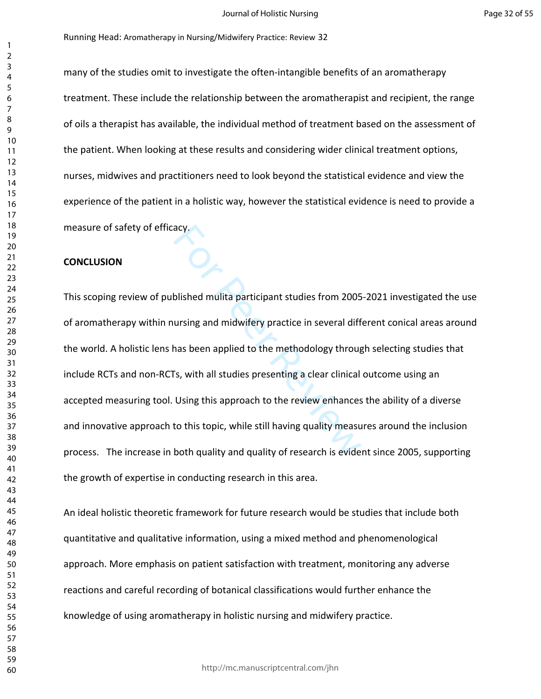many of the studies omit to investigate the often-intangible benefits of an aromatherapy treatment. These include the relationship between the aromatherapist and recipient, the range of oils a therapist has available, the individual method of treatment based on the assessment of the patient. When looking at these results and considering wider clinical treatment options, nurses, midwives and practitioners need to look beyond the statistical evidence and view the experience of the patient in a holistic way, however the statistical evidence is need to provide a measure of safety of efficacy.

## **CONCLUSION**

acy.<br>
blished mulita participant studies from 2005<br>
ursing and midwifery practice in several diff<br>
has been applied to the methodology throug<br>
Fs, with all studies presenting a clear clinical<br>
Using this approach to the re This scoping review of published mulita participant studies from 2005-2021 investigated the use of aromatherapy within nursing and midwifery practice in several different conical areas around the world. A holistic lens has been applied to the methodology through selecting studies that include RCTs and non-RCTs, with all studies presenting a clear clinical outcome using an accepted measuring tool. Using this approach to the review enhances the ability of a diverse and innovative approach to this topic, while still having quality measures around the inclusion process. The increase in both quality and quality of research is evident since 2005, supporting the growth of expertise in conducting research in this area.

An ideal holistic theoretic framework for future research would be studies that include both quantitative and qualitative information, using a mixed method and phenomenological approach. More emphasis on patient satisfaction with treatment, monitoring any adverse reactions and careful recording of botanical classifications would further enhance the knowledge of using aromatherapy in holistic nursing and midwifery practice.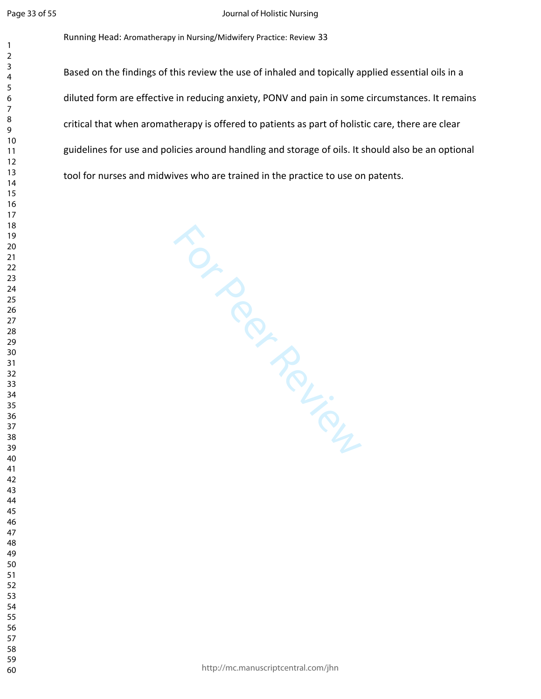$\mathbf{1}$ 

#### Journal of Holistic Nursing

Running Head: Aromatherapy in Nursing/Midwifery Practice: Review 33

Based on the findings of this review the use of inhaled and topically applied essential oils in a diluted form are effective in reducing anxiety, PONV and pain in some circumstances. It remains critical that when aromatherapy is offered to patients as part of holistic care, there are clear guidelines for use and policies around handling and storage of oils. It should also be an optional tool for nurses and midwives who are trained in the practice to use on patents.

For Per Felices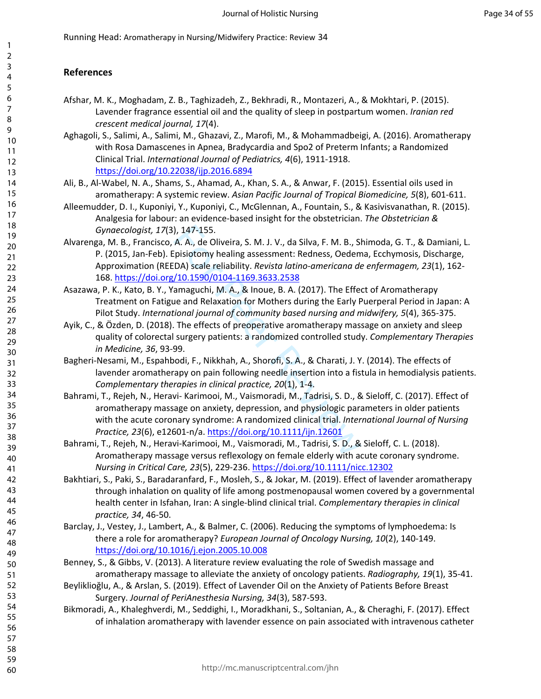## **References**

- Afshar, M. K., Moghadam, Z. B., Taghizadeh, Z., Bekhradi, R., Montazeri, A., & Mokhtari, P. (2015). Lavender fragrance essential oil and the quality of sleep in postpartum women. *Iranian red crescent medical journal, 17*(4).
- Aghagoli, S., Salimi, A., Salimi, M., Ghazavi, Z., Marofi, M., & Mohammadbeigi, A. (2016). Aromatherapy with Rosa Damascenes in Apnea, Bradycardia and Spo2 of Preterm Infants; a Randomized Clinical Trial. *International Journal of Pediatrics, 4*(6), 1911-1918. <https://doi.org/10.22038/ijp.2016.6894>
- Ali, B., Al-Wabel, N. A., Shams, S., Ahamad, A., Khan, S. A., & Anwar, F. (2015). Essential oils used in aromatherapy: A systemic review. *Asian Pacific Journal of Tropical Biomedicine, 5*(8), 601-611.
- Alleemudder, D. I., Kuponiyi, Y., Kuponiyi, C., McGlennan, A., Fountain, S., & Kasivisvanathan, R. (2015). Analgesia for labour: an evidence-based insight for the obstetrician. *The Obstetrician & Gynaecologist, 17*(3), 147-155.
- Alvarenga, M. B., Francisco, A. A., de Oliveira, S. M. J. V., da Silva, F. M. B., Shimoda, G. T., & Damiani, L. P. (2015, Jan-Feb). Episiotomy healing assessment: Redness, Oedema, Ecchymosis, Discharge, Approximation (REEDA) scale reliability. *Revista latino-americana de enfermagem, 23*(1), 162- 168. <https://doi.org/10.1590/0104-1169.3633.2538>
- Asazawa, P. K., Kato, B. Y., Yamaguchi, M. A., & Inoue, B. A. (2017). The Effect of Aromatherapy Treatment on Fatigue and Relaxation for Mothers during the Early Puerperal Period in Japan: A Pilot Study. *International journal of community based nursing and midwifery, 5*(4), 365-375.
- Ayik, C., & Özden, D. (2018). The effects of preoperative aromatherapy massage on anxiety and sleep quality of colorectal surgery patients: a randomized controlled study. *Complementary Therapies in Medicine, 36*, 93-99.
- Bagheri-Nesami, M., Espahbodi, F., Nikkhah, A., Shorofi, S. A., & Charati, J. Y. (2014). The effects of lavender aromatherapy on pain following needle insertion into a fistula in hemodialysis patients. *Complementary therapies in clinical practice, 20*(1), 1-4.
- ), 147-155.<br>
A. A., de Oliveira, S. M. J. V., da Silva, F. M. B., Sl<br>
ipisiotomy healing assessment: Redness, Oedem<br>
DA) scale reliability. *Revista latino-americana de*<br>
<u>/10.1590/0104-1169.3633.2538</u><br>
amaguchi, M. A., & Bahrami, T., Rejeh, N., Heravi- Karimooi, M., Vaismoradi, M., Tadrisi, S. D., & Sieloff, C. (2017). Effect of aromatherapy massage on anxiety, depression, and physiologic parameters in older patients with the acute coronary syndrome: A randomized clinical trial. *International Journal of Nursing Practice, 23*(6), e12601-n/a. https://doi.org/10.1111/ijn.12601
- Bahrami, T., Rejeh, N., Heravi-Karimooi, M., Vaismoradi, M., Tadrisi, S. D., & Sieloff, C. L. (2018). Aromatherapy massage versus reflexology on female elderly with acute coronary syndrome. *Nursing in Critical Care, 23*(5), 229-236. <https://doi.org/10.1111/nicc.12302>
- Bakhtiari, S., Paki, S., Baradaranfard, F., Mosleh, S., & Jokar, M. (2019). Effect of lavender aromatherapy through inhalation on quality of life among postmenopausal women covered by a governmental health center in Isfahan, Iran: A single-blind clinical trial. *Complementary therapies in clinical practice, 34*, 46-50.
- Barclay, J., Vestey, J., Lambert, A., & Balmer, C. (2006). Reducing the symptoms of lymphoedema: Is there a role for aromatherapy? *European Journal of Oncology Nursing, 10*(2), 140-149. <https://doi.org/10.1016/j.ejon.2005.10.008>
- Benney, S., & Gibbs, V. (2013). A literature review evaluating the role of Swedish massage and aromatherapy massage to alleviate the anxiety of oncology patients. *Radiography, 19*(1), 35-41.
- Beyliklioğlu, A., & Arslan, S. (2019). Effect of Lavender Oil on the Anxiety of Patients Before Breast Surgery. *Journal of PeriAnesthesia Nursing, 34*(3), 587-593.
- Bikmoradi, A., Khaleghverdi, M., Seddighi, I., Moradkhani, S., Soltanian, A., & Cheraghi, F. (2017). Effect of inhalation aromatherapy with lavender essence on pain associated with intravenous catheter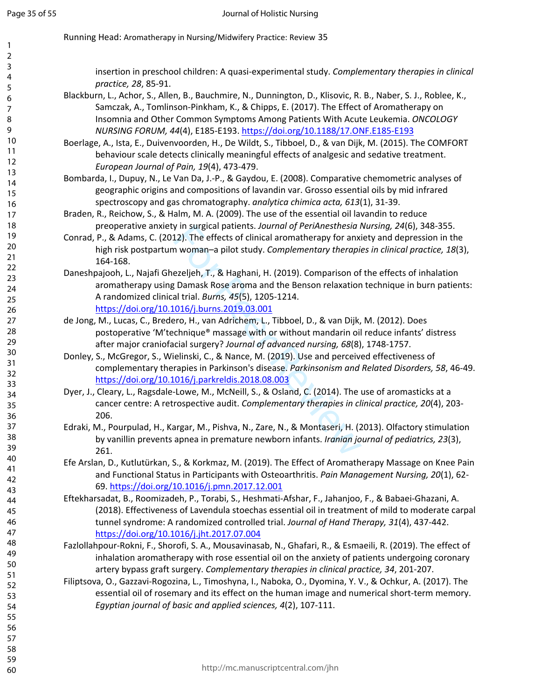insertion in preschool children: A quasi-experimental study. *Complementary therapies in clinical practice, 28*, 85-91.

- Blackburn, L., Achor, S., Allen, B., Bauchmire, N., Dunnington, D., Klisovic, R. B., Naber, S. J., Roblee, K., Samczak, A., Tomlinson-Pinkham, K., & Chipps, E. (2017). The Effect of Aromatherapy on Insomnia and Other Common Symptoms Among Patients With Acute Leukemia. *ONCOLOGY NURSING FORUM, 44*(4), E185-E193. <https://doi.org/10.1188/17.ONF.E185-E193>
- Boerlage, A., Ista, E., Duivenvoorden, H., De Wildt, S., Tibboel, D., & van Dijk, M. (2015). The COMFORT behaviour scale detects clinically meaningful effects of analgesic and sedative treatment. *European Journal of Pain, 19*(4), 473-479.
- Bombarda, I., Dupuy, N., Le Van Da, J.-P., & Gaydou, E. (2008). Comparative chemometric analyses of geographic origins and compositions of lavandin var. Grosso essential oils by mid infrared spectroscopy and gas chromatography. *analytica chimica acta, 613*(1), 31-39.
- Braden, R., Reichow, S., & Halm, M. A. (2009). The use of the essential oil lavandin to reduce preoperative anxiety in surgical patients. *Journal of PeriAnesthesia Nursing, 24*(6), 348-355.
- Conrad, P., & Adams, C. (2012). The effects of clinical aromatherapy for anxiety and depression in the high risk postpartum woman–a pilot study. *Complementary therapies in clinical practice, 18*(3), 164-168.
- y in surgical patients. Journal of PeriAnesthesia P<br>12). The effects of clinical aromatherapy for anxi<br>n woman-a pilot study. Complementary therapic<br>ezeljeh, T., & Haghani, H. (2019). Comparison of<br>g Damask Rose aroma and Daneshpajooh, L., Najafi Ghezeljeh, T., & Haghani, H. (2019). Comparison of the effects of inhalation aromatherapy using Damask Rose aroma and the Benson relaxation technique in burn patients: A randomized clinical trial. *Burns, 45*(5), 1205-1214. <https://doi.org/10.1016/j.burns.2019.03.001>
- de Jong, M., Lucas, C., Bredero, H., van Adrichem, L., Tibboel, D., & van Dijk, M. (2012). Does postoperative 'M'technique® massage with or without mandarin oil reduce infants' distress after major craniofacial surgery? *Journal of advanced nursing, 68*(8), 1748-1757.
- Donley, S., McGregor, S., Wielinski, C., & Nance, M. (2019). Use and perceived effectiveness of complementary therapies in Parkinson's disease. *Parkinsonism and Related Disorders, 58*, 46-49. <https://doi.org/10.1016/j.parkreldis.2018.08.003>
- Dyer, J., Cleary, L., Ragsdale-Lowe, M., McNeill, S., & Osland, C. (2014). The use of aromasticks at a cancer centre: A retrospective audit. *Complementary therapies in clinical practice, 20*(4), 203- 206.
- Edraki, M., Pourpulad, H., Kargar, M., Pishva, N., Zare, N., & Montaseri, H. (2013). Olfactory stimulation by vanillin prevents apnea in premature newborn infants. *Iranian journal of pediatrics, 23*(3), 261.
- Efe Arslan, D., Kutlutürkan, S., & Korkmaz, M. (2019). The Effect of Aromatherapy Massage on Knee Pain and Functional Status in Participants with Osteoarthritis. *Pain Management Nursing, 20*(1), 62- 69.<https://doi.org/10.1016/j.pmn.2017.12.001>
- Eftekharsadat, B., Roomizadeh, P., Torabi, S., Heshmati-Afshar, F., Jahanjoo, F., & Babaei-Ghazani, A. (2018). Effectiveness of Lavendula stoechas essential oil in treatment of mild to moderate carpal tunnel syndrome: A randomized controlled trial. *Journal of Hand Therapy, 31*(4), 437-442. <https://doi.org/10.1016/j.jht.2017.07.004>
- Fazlollahpour-Rokni, F., Shorofi, S. A., Mousavinasab, N., Ghafari, R., & Esmaeili, R. (2019). The effect of inhalation aromatherapy with rose essential oil on the anxiety of patients undergoing coronary artery bypass graft surgery. *Complementary therapies in clinical practice, 34*, 201-207.
- Filiptsova, O., Gazzavi-Rogozina, L., Timoshyna, I., Naboka, O., Dyomina, Y. V., & Ochkur, A. (2017). The essential oil of rosemary and its effect on the human image and numerical short-term memory. *Egyptian journal of basic and applied sciences, 4*(2), 107-111.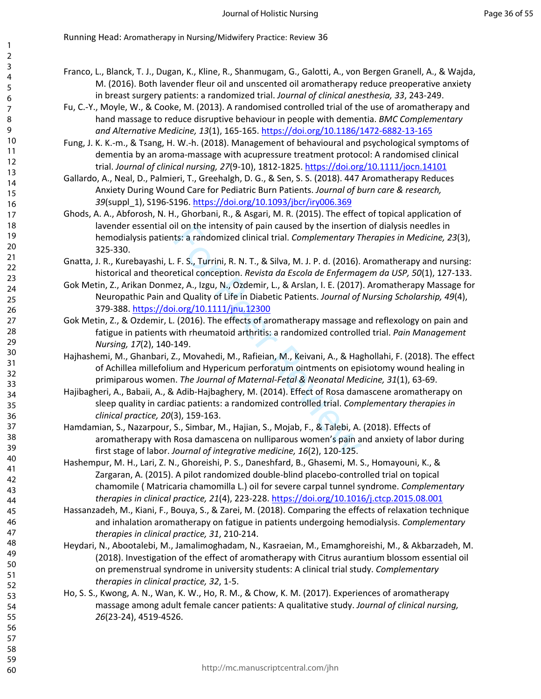- Franco, L., Blanck, T. J., Dugan, K., Kline, R., Shanmugam, G., Galotti, A., von Bergen Granell, A., & Wajda, M. (2016). Both lavender fleur oil and unscented oil aromatherapy reduce preoperative anxiety in breast surgery patients: a randomized trial. *Journal of clinical anesthesia, 33*, 243-249.
- Fu, C.-Y., Moyle, W., & Cooke, M. (2013). A randomised controlled trial of the use of aromatherapy and hand massage to reduce disruptive behaviour in people with dementia. *BMC Complementary and Alternative Medicine, 13*(1), 165-165.<https://doi.org/10.1186/1472-6882-13-165>
- Fung, J. K. K.-m., & Tsang, H. W.-h. (2018). Management of behavioural and psychological symptoms of dementia by an aroma-massage with acupressure treatment protocol: A randomised clinical trial. *Journal of clinical nursing, 27*(9-10), 1812-1825.<https://doi.org/10.1111/jocn.14101>
- Gallardo, A., Neal, D., Palmieri, T., Greehalgh, D. G., & Sen, S. S. (2018). 447 Aromatherapy Reduces Anxiety During Wound Care for Pediatric Burn Patients. *Journal of burn care & research, 39*(suppl\_1), S196-S196.<https://doi.org/10.1093/jbcr/iry006.369>
- Ghods, A. A., Abforosh, N. H., Ghorbani, R., & Asgari, M. R. (2015). The effect of topical application of lavender essential oil on the intensity of pain caused by the insertion of dialysis needles in hemodialysis patients: a randomized clinical trial. *Complementary Therapies in Medicine, 23*(3), 325-330.
- Gnatta, J. R., Kurebayashi, L. F. S., Turrini, R. N. T., & Silva, M. J. P. d. (2016). Aromatherapy and nursing: historical and theoretical conception. *Revista da Escola de Enfermagem da USP, 50*(1), 127-133.
- il on the intensity of pain caused by the insertiots:<br>
ts: a randomized clinical trial. Complementary T.<br>
F. S., Turrini, R. N. T., & Silva, M. J. P. d. (2016).<br>
etical conception. *Revista da Escola de Enfermag*<br>
ez, A., Gok Metin, Z., Arikan Donmez, A., Izgu, N., Ozdemir, L., & Arslan, I. E. (2017). Aromatherapy Massage for Neuropathic Pain and Quality of Life in Diabetic Patients. *Journal of Nursing Scholarship, 49*(4), 379-388.<https://doi.org/10.1111/jnu.12300>
- Gok Metin, Z., & Ozdemir, L. (2016). The effects of aromatherapy massage and reflexology on pain and fatigue in patients with rheumatoid arthritis: a randomized controlled trial. *Pain Management Nursing, 17*(2), 140-149.
- Hajhashemi, M., Ghanbari, Z., Movahedi, M., Rafieian, M., Keivani, A., & Haghollahi, F. (2018). The effect of Achillea millefolium and Hypericum perforatum ointments on episiotomy wound healing in primiparous women. *The Journal of Maternal-Fetal & Neonatal Medicine, 31*(1), 63-69.
- Hajibagheri, A., Babaii, A., & Adib-Hajbaghery, M. (2014). Effect of Rosa damascene aromatherapy on sleep quality in cardiac patients: a randomized controlled trial. *Complementary therapies in clinical practice, 20*(3), 159-163.
- Hamdamian, S., Nazarpour, S., Simbar, M., Hajian, S., Mojab, F., & Talebi, A. (2018). Effects of aromatherapy with Rosa damascena on nulliparous women's pain and anxiety of labor during first stage of labor. *Journal of integrative medicine, 16*(2), 120-125.
- Hashempur, M. H., Lari, Z. N., Ghoreishi, P. S., Daneshfard, B., Ghasemi, M. S., Homayouni, K., & Zargaran, A. (2015). A pilot randomized double-blind placebo-controlled trial on topical chamomile ( Matricaria chamomilla L.) oil for severe carpal tunnel syndrome. *Complementary therapies in clinical practice, 21*(4), 223-228. <https://doi.org/10.1016/j.ctcp.2015.08.001>
- Hassanzadeh, M., Kiani, F., Bouya, S., & Zarei, M. (2018). Comparing the effects of relaxation technique and inhalation aromatherapy on fatigue in patients undergoing hemodialysis. *Complementary therapies in clinical practice, 31*, 210-214.
- Heydari, N., Abootalebi, M., Jamalimoghadam, N., Kasraeian, M., Emamghoreishi, M., & Akbarzadeh, M. (2018). Investigation of the effect of aromatherapy with Citrus aurantium blossom essential oil on premenstrual syndrome in university students: A clinical trial study. *Complementary therapies in clinical practice, 32*, 1-5.
- Ho, S. S., Kwong, A. N., Wan, K. W., Ho, R. M., & Chow, K. M. (2017). Experiences of aromatherapy massage among adult female cancer patients: A qualitative study. *Journal of clinical nursing, 26*(23-24), 4519-4526.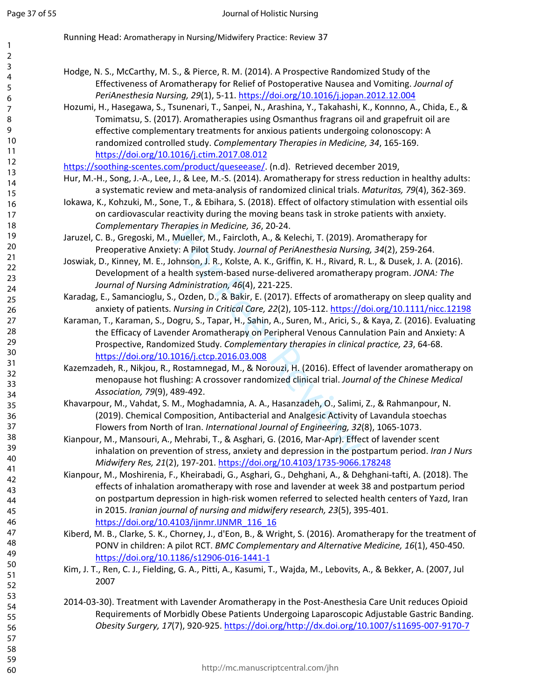Running Head: Aromatherapy in Nursing/Midwifery Practice: Review 37

Hodge, N. S., McCarthy, M. S., & Pierce, R. M. (2014). A Prospective Randomized Study of the Effectiveness of Aromatherapy for Relief of Postoperative Nausea and Vomiting. *Journal of PeriAnesthesia Nursing, 29*(1), 5-11.<https://doi.org/10.1016/j.jopan.2012.12.004>

Hozumi, H., Hasegawa, S., Tsunenari, T., Sanpei, N., Arashina, Y., Takahashi, K., Konnno, A., Chida, E., & Tomimatsu, S. (2017). Aromatherapies using Osmanthus fragrans oil and grapefruit oil are effective complementary treatments for anxious patients undergoing colonoscopy: A randomized controlled study. *Complementary Therapies in Medicine, 34*, 165-169. <https://doi.org/10.1016/j.ctim.2017.08.012>

[https://soothing-scentes.com/product/queseease/.](https://soothing-scentes.com/product/queseease/) (n.d). Retrieved december 2019,

- Hur, M.-H., Song, J.-A., Lee, J., & Lee, M.-S. (2014). Aromatherapy for stress reduction in healthy adults: a systematic review and meta-analysis of randomized clinical trials. *Maturitas, 79*(4), 362-369.
- Iokawa, K., Kohzuki, M., Sone, T., & Ebihara, S. (2018). Effect of olfactory stimulation with essential oils on cardiovascular reactivity during the moving beans task in stroke patients with anxiety. *Complementary Therapies in Medicine, 36*, 20-24.
- Jaruzel, C. B., Gregoski, M., Mueller, M., Faircloth, A., & Kelechi, T. (2019). Aromatherapy for Preoperative Anxiety: A Pilot Study. *Journal of PeriAnesthesia Nursing, 34*(2), 259-264.
- Joswiak, D., Kinney, M. E., Johnson, J. R., Kolste, A. K., Griffin, K. H., Rivard, R. L., & Dusek, J. A. (2016). Development of a health system-based nurse-delivered aromatherapy program. *JONA: The Journal of Nursing Administration, 46*(4), 221-225.
- Karadag, E., Samancioglu, S., Ozden, D., & Bakir, E. (2017). Effects of aromatherapy on sleep quality and anxiety of patients. *Nursing in Critical Care, 22*(2), 105-112.<https://doi.org/10.1111/nicc.12198>
- *rapies in Medicine, 36, 20-24.*<br>Mueller, M., Faircloth, A., & Kelechi, T. (2019). A<br>y: A Pilot Study. Journal of PeriAnesthesia Nursin<br>bhnson, J. R., Kolste, A. K., Griffin, K. H., Rivard, R<br>ealth system-based nurse-deliv Karaman, T., Karaman, S., Dogru, S., Tapar, H., Sahin, A., Suren, M., Arici, S., & Kaya, Z. (2016). Evaluating the Efficacy of Lavender Aromatherapy on Peripheral Venous Cannulation Pain and Anxiety: A Prospective, Randomized Study. *Complementary therapies in clinical practice, 23*, 64-68. <https://doi.org/10.1016/j.ctcp.2016.03.008>
- Kazemzadeh, R., Nikjou, R., Rostamnegad, M., & Norouzi, H. (2016). Effect of lavender aromatherapy on menopause hot flushing: A crossover randomized clinical trial. *Journal of the Chinese Medical Association, 79*(9), 489-492.
- Khavarpour, M., Vahdat, S. M., Moghadamnia, A. A., Hasanzadeh, O., Salimi, Z., & Rahmanpour, N. (2019). Chemical Composition, Antibacterial and Analgesic Activity of Lavandula stoechas Flowers from North of Iran. *International Journal of Engineering, 32*(8), 1065-1073.
- Kianpour, M., Mansouri, A., Mehrabi, T., & Asghari, G. (2016, Mar-Apr). Effect of lavender scent inhalation on prevention of stress, anxiety and depression in the postpartum period. *Iran J Nurs Midwifery Res, 21*(2), 197-201.<https://doi.org/10.4103/1735-9066.178248>
- Kianpour, M., Moshirenia, F., Kheirabadi, G., Asghari, G., Dehghani, A., & Dehghani-tafti, A. (2018). The effects of inhalation aromatherapy with rose and lavender at week 38 and postpartum period on postpartum depression in high-risk women referred to selected health centers of Yazd, Iran in 2015. *Iranian journal of nursing and midwifery research, 23*(5), 395-401. [https://doi.org/10.4103/ijnmr.IJNMR\\_116\\_16](https://doi.org/10.4103/ijnmr.IJNMR_116_16)
- Kiberd, M. B., Clarke, S. K., Chorney, J., d'Eon, B., & Wright, S. (2016). Aromatherapy for the treatment of PONV in children: A pilot RCT. *BMC Complementary and Alternative Medicine, 16*(1), 450-450. <https://doi.org/10.1186/s12906-016-1441-1>
- Kim, J. T., Ren, C. J., Fielding, G. A., Pitti, A., Kasumi, T., Wajda, M., Lebovits, A., & Bekker, A. (2007, Jul 2007
- 2014-03-30). Treatment with Lavender Aromatherapy in the Post-Anesthesia Care Unit reduces Opioid Requirements of Morbidly Obese Patients Undergoing Laparoscopic Adjustable Gastric Banding. *Obesity Surgery, 17*(7), 920-925. <https://doi.org/http://dx.doi.org/10.1007/s11695-007-9170-7>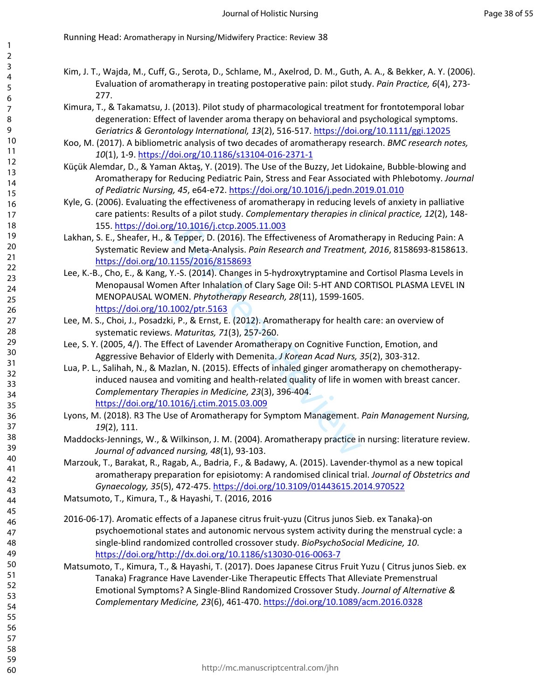- Kim, J. T., Wajda, M., Cuff, G., Serota, D., Schlame, M., Axelrod, D. M., Guth, A. A., & Bekker, A. Y. (2006). Evaluation of aromatherapy in treating postoperative pain: pilot study. *Pain Practice, 6*(4), 273- 277.
- Kimura, T., & Takamatsu, J. (2013). Pilot study of pharmacological treatment for frontotemporal lobar degeneration: Effect of lavender aroma therapy on behavioral and psychological symptoms. *Geriatrics & Gerontology International, 13*(2), 516-517.<https://doi.org/10.1111/ggi.12025>
- Koo, M. (2017). A bibliometric analysis of two decades of aromatherapy research. *BMC research notes, 10*(1), 1-9.<https://doi.org/10.1186/s13104-016-2371-1>
- Küçük Alemdar, D., & Yaman Aktaş, Y. (2019). The Use of the Buzzy, Jet Lidokaine, Bubble-blowing and Aromatherapy for Reducing Pediatric Pain, Stress and Fear Associated with Phlebotomy. *Journal of Pediatric Nursing, 45*, e64-e72.<https://doi.org/10.1016/j.pedn.2019.01.010>
- Kyle, G. (2006). Evaluating the effectiveness of aromatherapy in reducing levels of anxiety in palliative care patients: Results of a pilot study. *Complementary therapies in clinical practice, 12*(2), 148- 155. <https://doi.org/10.1016/j.ctcp.2005.11.003>
- Lakhan, S. E., Sheafer, H., & Tepper, D. (2016). The Effectiveness of Aromatherapy in Reducing Pain: A Systematic Review and Meta-Analysis. *Pain Research and Treatment, 2016*, 8158693-8158613. <https://doi.org/10.1155/2016/8158693>
- Lee, K.-B., Cho, E., & Kang, Y.-S. (2014). Changes in 5-hydroxytryptamine and Cortisol Plasma Levels in Menopausal Women After Inhalation of Clary Sage Oil: 5-HT AND CORTISOL PLASMA LEVEL IN MENOPAUSAL WOMEN. *Phytotherapy Research, 28*(11), 1599-1605. <https://doi.org/10.1002/ptr.5163>
- Lee, M. S., Choi, J., Posadzki, P., & Ernst, E. (2012). Aromatherapy for health care: an overview of systematic reviews. *Maturitas, 71*(3), 257-260.
- Lee, S. Y. (2005, 4/). The Effect of Lavender Aromatherapy on Cognitive Function, Emotion, and Aggressive Behavior of Elderly with Demenita. *J Korean Acad Nurs, 35*(2), 303-312.
- For Peer Review Lua, P. L., Salihah, N., & Mazlan, N. (2015). Effects of inhaled ginger aromatherapy on chemotherapyinduced nausea and vomiting and health-related quality of life in women with breast cancer. *Complementary Therapies in Medicine, 23*(3), 396-404. <https://doi.org/10.1016/j.ctim.2015.03.009>
- Lyons, M. (2018). R3 The Use of Aromatherapy for Symptom Management. *Pain Management Nursing, 19*(2), 111.
- Maddocks-Jennings, W., & Wilkinson, J. M. (2004). Aromatherapy practice in nursing: literature review. *Journal of advanced nursing, 48*(1), 93-103.
- Marzouk, T., Barakat, R., Ragab, A., Badria, F., & Badawy, A. (2015). Lavender-thymol as a new topical aromatherapy preparation for episiotomy: A randomised clinical trial. *Journal of Obstetrics and Gynaecology, 35*(5), 472-475.<https://doi.org/10.3109/01443615.2014.970522>
- Matsumoto, T., Kimura, T., & Hayashi, T. (2016, 2016
- 2016-06-17). Aromatic effects of a Japanese citrus fruit-yuzu (Citrus junos Sieb. ex Tanaka)-on psychoemotional states and autonomic nervous system activity during the menstrual cycle: a single-blind randomized controlled crossover study. *BioPsychoSocial Medicine, 10*. <https://doi.org/http://dx.doi.org/10.1186/s13030-016-0063-7>
- Matsumoto, T., Kimura, T., & Hayashi, T. (2017). Does Japanese Citrus Fruit Yuzu ( Citrus junos Sieb. ex Tanaka) Fragrance Have Lavender-Like Therapeutic Effects That Alleviate Premenstrual Emotional Symptoms? A Single-Blind Randomized Crossover Study. *Journal of Alternative & Complementary Medicine, 23*(6), 461-470.<https://doi.org/10.1089/acm.2016.0328>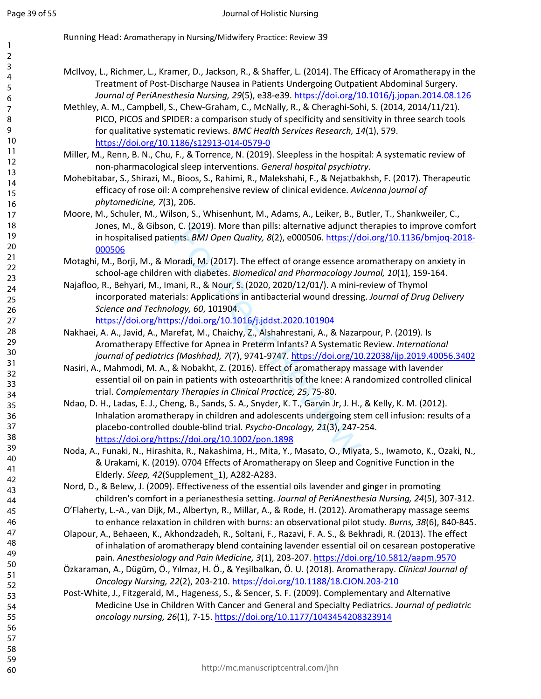- McIlvoy, L., Richmer, L., Kramer, D., Jackson, R., & Shaffer, L. (2014). The Efficacy of Aromatherapy in the Treatment of Post-Discharge Nausea in Patients Undergoing Outpatient Abdominal Surgery. *Journal of PeriAnesthesia Nursing, 29*(5), e38-e39.<https://doi.org/10.1016/j.jopan.2014.08.126>
- Methley, A. M., Campbell, S., Chew-Graham, C., McNally, R., & Cheraghi-Sohi, S. (2014, 2014/11/21). PICO, PICOS and SPIDER: a comparison study of specificity and sensitivity in three search tools for qualitative systematic reviews. *BMC Health Services Research, 14*(1), 579. <https://doi.org/10.1186/s12913-014-0579-0>
- Miller, M., Renn, B. N., Chu, F., & Torrence, N. (2019). Sleepless in the hospital: A systematic review of non-pharmacological sleep interventions. *General hospital psychiatry* .
- Mohebitabar, S., Shirazi, M., Bioos, S., Rahimi, R., Malekshahi, F., & Nejatbakhsh, F. (2017). Therapeutic efficacy of rose oil: A comprehensive review of clinical evidence. *Avicenna journal of phytomedicine, 7*(3), 206.
- Moore, M., Schuler, M., Wilson, S., Whisenhunt, M., Adams, A., Leiker, B., Butler, T., Shankweiler, C., Jones, M., & Gibson, C. (2019). More than pills: alternative adjunct therapies to improve comfort in hospitalised patients. *BMJ Open Quality, 8*(2), e000506. [https://doi.org/10.1136/bmjoq-2018-](https://doi.org/10.1136/bmjoq-2018-000506) [000506](https://doi.org/10.1136/bmjoq-2018-000506)
- Motaghi, M., Borji, M., & Moradi, M. (2017). The effect of orange essence aromatherapy on anxiety in school-age children with diabetes. *Biomedical and Pharmacology Journal, 10*(1), 159-164.
- Najafloo, R., Behyari, M., Imani, R., & Nour, S. (2020, 2020/12/01/). A mini-review of Thymol incorporated materials: Applications in antibacterial wound dressing. *Journal of Drug Delivery Science and Technology, 60*, 101904. <https://doi.org/https://doi.org/10.1016/j.jddst.2020.101904>
- Nakhaei, A. A., Javid, A., Marefat, M., Chaichy, Z., Alshahrestani, A., & Nazarpour, P. (2019). Is Aromatherapy Effective for Apnea in Preterm Infants? A Systematic Review. *International journal of pediatrics (Mashhad), 7*(7), 9741-9747. <https://doi.org/10.22038/ijp.2019.40056.3402>
- Nasiri, A., Mahmodi, M. A., & Nobakht, Z. (2016). Effect of aromatherapy massage with lavender essential oil on pain in patients with osteoarthritis of the knee: A randomized controlled clinical trial. *Complementary Therapies in Clinical Practice, 25*, 75-80.
- , C. (2019). More than pills: atternative adjunct t<br>
ents. *BMJ Open Quality, 8*(2), e000506. *https://d*<br>
oradi, M. (2017). The effect of orange essence at<br>
with diabetes. *Biomedical and Pharmacology Jo*<br>
ani, R., & Nour Ndao, D. H., Ladas, E. J., Cheng, B., Sands, S. A., Snyder, K. T., Garvin Jr, J. H., & Kelly, K. M. (2012). Inhalation aromatherapy in children and adolescents undergoing stem cell infusion: results of a placebo-controlled double-blind trial. *Psycho-Oncology, 21*(3), 247-254. <https://doi.org/https://doi.org/10.1002/pon.1898>
- Noda, A., Funaki, N., Hirashita, R., Nakashima, H., Mita, Y., Masato, O., Miyata, S., Iwamoto, K., Ozaki, N., & Urakami, K. (2019). 0704 Effects of Aromatherapy on Sleep and Cognitive Function in the Elderly. *Sleep, 42*(Supplement\_1), A282-A283.
- Nord, D., & Belew, J. (2009). Effectiveness of the essential oils lavender and ginger in promoting children's comfort in a perianesthesia setting. *Journal of PeriAnesthesia Nursing, 24*(5), 307-312.
- O'Flaherty, L.-A., van Dijk, M., Albertyn, R., Millar, A., & Rode, H. (2012). Aromatherapy massage seems to enhance relaxation in children with burns: an observational pilot study. *Burns, 38*(6), 840-845.
- Olapour, A., Behaeen, K., Akhondzadeh, R., Soltani, F., Razavi, F. A. S., & Bekhradi, R. (2013). The effect of inhalation of aromatherapy blend containing lavender essential oil on cesarean postoperative pain. *Anesthesiology and Pain Medicine, 3*(1), 203-207.<https://doi.org/10.5812/aapm.9570>
- Özkaraman, A., Dügüm, Ö., Yılmaz, H. Ö., & Yeşilbalkan, Ö. U. (2018). Aromatherapy. *Clinical Journal of Oncology Nursing, 22*(2), 203-210. <https://doi.org/10.1188/18.CJON.203-210>
- Post-White, J., Fitzgerald, M., Hageness, S., & Sencer, S. F. (2009). Complementary and Alternative Medicine Use in Children With Cancer and General and Specialty Pediatrics. *Journal of pediatric oncology nursing, 26*(1), 7-15.<https://doi.org/10.1177/1043454208323914>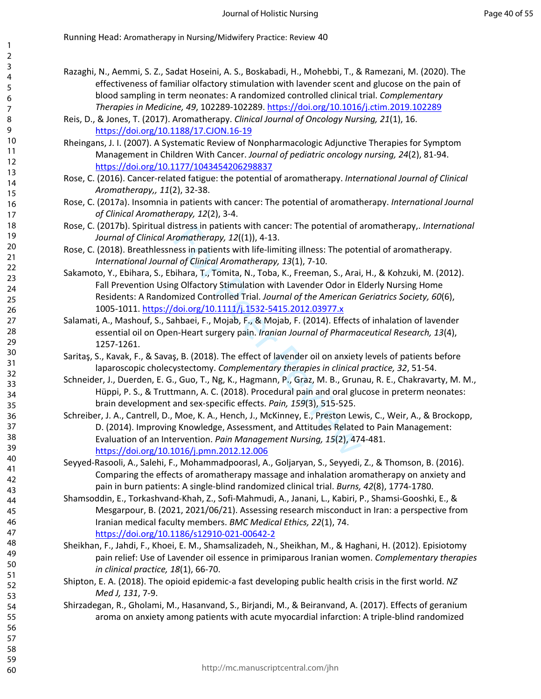- Razaghi, N., Aemmi, S. Z., Sadat Hoseini, A. S., Boskabadi, H., Mohebbi, T., & Ramezani, M. (2020). The effectiveness of familiar olfactory stimulation with lavender scent and glucose on the pain of blood sampling in term neonates: A randomized controlled clinical trial. *Complementary Therapies in Medicine, 49*, 102289-102289. <https://doi.org/10.1016/j.ctim.2019.102289>
- Reis, D., & Jones, T. (2017). Aromatherapy. *Clinical Journal of Oncology Nursing, 21*(1), 16. <https://doi.org/10.1188/17.CJON.16-19>
- Rheingans, J. I. (2007). A Systematic Review of Nonpharmacologic Adjunctive Therapies for Symptom Management in Children With Cancer. *Journal of pediatric oncology nursing, 24*(2), 81-94. <https://doi.org/10.1177/1043454206298837>
- Rose, C. (2016). Cancer-related fatigue: the potential of aromatherapy. *International Journal of Clinical Aromatherapy,, 11*(2), 32-38.
- Rose, C. (2017a). Insomnia in patients with cancer: The potential of aromatherapy. *International Journal of Clinical Aromatherapy, 12*(2), 3-4.
- Rose, C. (2017b). Spiritual distress in patients with cancer: The potential of aromatherapy,. *International Journal of Clinical Aromatherapy, 12*((1)), 4-13.
- Rose, C. (2018). Breathlessness in patients with life-limiting illness: The potential of aromatherapy. *International Journal of Clinical Aromatherapy, 13*(1), 7-10.
- Sakamoto, Y., Ebihara, S., Ebihara, T., Tomita, N., Toba, K., Freeman, S., Arai, H., & Kohzuki, M. (2012). Fall Prevention Using Olfactory Stimulation with Lavender Odor in Elderly Nursing Home Residents: A Randomized Controlled Trial. *Journal of the American Geriatrics Society, 60*(6), 1005-1011.<https://doi.org/10.1111/j.1532-5415.2012.03977.x>
- Salamati, A., Mashouf, S., Sahbaei, F., Mojab, F., & Mojab, F. (2014). Effects of inhalation of lavender essential oil on Open-Heart surgery pain. *Iranian Journal of Pharmaceutical Research, 13*(4), 1257-1261.
- Saritaş, S., Kavak, F., & Savaş, B. (2018). The effect of lavender oil on anxiety levels of patients before laparoscopic cholecystectomy. *Complementary therapies in clinical practice, 32*, 51-54.
- Schneider, J., Duerden, E. G., Guo, T., Ng, K., Hagmann, P., Graz, M. B., Grunau, R. E., Chakravarty, M. M., Hüppi, P. S., & Truttmann, A. C. (2018). Procedural pain and oral glucose in preterm neonates: brain development and sex-specific effects. *Pain, 159*(3), 515-525.
- Istress in patients with cancer: The potential of a<br>comatherapy, 12((1)), 4-13.<br>ess in patients with life-limiting illness: The pote<br>al of Clinical Aromatherapy, 13(1), 7-10.<br>ilhara, T., Tomita, N., Toba, K., Freeman, S., Schreiber, J. A., Cantrell, D., Moe, K. A., Hench, J., McKinney, E., Preston Lewis, C., Weir, A., & Brockopp, D. (2014). Improving Knowledge, Assessment, and Attitudes Related to Pain Management: Evaluation of an Intervention. *Pain Management Nursing, 15*(2), 474-481. <https://doi.org/10.1016/j.pmn.2012.12.006>
- Seyyed-Rasooli, A., Salehi, F., Mohammadpoorasl, A., Goljaryan, S., Seyyedi, Z., & Thomson, B. (2016). Comparing the effects of aromatherapy massage and inhalation aromatherapy on anxiety and pain in burn patients: A single-blind randomized clinical trial. *Burns, 42*(8), 1774-1780.
- Shamsoddin, E., Torkashvand-Khah, Z., Sofi-Mahmudi, A., Janani, L., Kabiri, P., Shamsi-Gooshki, E., & Mesgarpour, B. (2021, 2021/06/21). Assessing research misconduct in Iran: a perspective from Iranian medical faculty members. *BMC Medical Ethics, 22*(1), 74. <https://doi.org/10.1186/s12910-021-00642-2>
- Sheikhan, F., Jahdi, F., Khoei, E. M., Shamsalizadeh, N., Sheikhan, M., & Haghani, H. (2012). Episiotomy pain relief: Use of Lavender oil essence in primiparous Iranian women. *Complementary therapies in clinical practice, 18*(1), 66-70.
- Shipton, E. A. (2018). The opioid epidemic-a fast developing public health crisis in the first world. *NZ Med J, 131*, 7-9.
- Shirzadegan, R., Gholami, M., Hasanvand, S., Birjandi, M., & Beiranvand, A. (2017). Effects of geranium aroma on anxiety among patients with acute myocardial infarction: A triple-blind randomized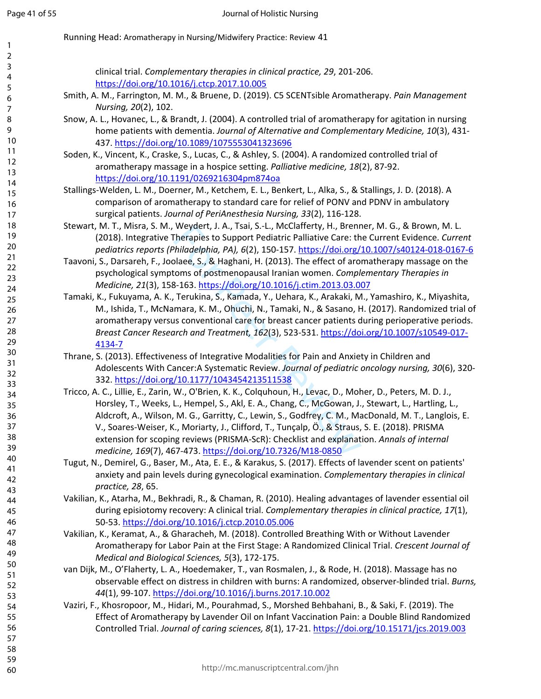| 1            |                                                                                                              |
|--------------|--------------------------------------------------------------------------------------------------------------|
| 2            |                                                                                                              |
| 3            |                                                                                                              |
| 4            | clinical trial. Complementary therapies in clinical practice, 29, 201-206.                                   |
| 5            | https://doi.org/10.1016/j.ctcp.2017.10.005                                                                   |
| 6            | Smith, A. M., Farrington, M. M., & Bruene, D. (2019). C5 SCENTsible Aromatherapy. Pain Management            |
| 7            | Nursing, 20(2), 102.                                                                                         |
| 8            | Snow, A. L., Hovanec, L., & Brandt, J. (2004). A controlled trial of aromatherapy for agitation in nursing   |
| 9            | home patients with dementia. Journal of Alternative and Complementary Medicine, 10(3), 431-                  |
| 10           | 437. https://doi.org/10.1089/1075553041323696                                                                |
| 11           | Soden, K., Vincent, K., Craske, S., Lucas, C., & Ashley, S. (2004). A randomized controlled trial of         |
| 12           | aromatherapy massage in a hospice setting. Palliative medicine, 18(2), 87-92.                                |
| 13<br>14     | https://doi.org/10.1191/0269216304pm874oa                                                                    |
| 15           | Stallings-Welden, L. M., Doerner, M., Ketchem, E. L., Benkert, L., Alka, S., & Stallings, J. D. (2018). A    |
| 16           | comparison of aromatherapy to standard care for relief of PONV and PDNV in ambulatory                        |
| 17           | surgical patients. Journal of PeriAnesthesia Nursing, 33(2), 116-128.                                        |
| 18           | Stewart, M. T., Misra, S. M., Weydert, J. A., Tsai, S.-L., McClafferty, H., Brenner, M. G., & Brown, M. L.   |
| 19           | (2018). Integrative Therapies to Support Pediatric Palliative Care: the Current Evidence. Current            |
| 20           | pediatrics reports (Philadelphia, PA), 6(2), 150-157. https://doi.org/10.1007/s40124-018-0167-6              |
| $21$         | Taavoni, S., Darsareh, F., Joolaee, S., & Haghani, H. (2013). The effect of aromatherapy massage on the      |
| 22           |                                                                                                              |
| 23           | psychological symptoms of postmenopausal Iranian women. Complementary Therapies in                           |
| 24           | Medicine, 21(3), 158-163. https://doi.org/10.1016/j.ctim.2013.03.007                                         |
| 25           | Tamaki, K., Fukuyama, A. K., Terukina, S., Kamada, Y., Uehara, K., Arakaki, M., Yamashiro, K., Miyashita,    |
| 26           | M., Ishida, T., McNamara, K. M., Ohuchi, N., Tamaki, N., & Sasano, H. (2017). Randomized trial of            |
| 27           | aromatherapy versus conventional care for breast cancer patients during perioperative periods.               |
| 28           | Breast Cancer Research and Treatment, 162(3), 523-531. https://doi.org/10.1007/s10549-017-                   |
| 29           | 4134-7                                                                                                       |
| $30\,$<br>31 | Thrane, S. (2013). Effectiveness of Integrative Modalities for Pain and Anxiety in Children and              |
| 32           | Adolescents With Cancer:A Systematic Review. Journal of pediatric oncology nursing, 30(6), 320-              |
| 33           | 332. https://doi.org/10.1177/1043454213511538                                                                |
| 34           | Tricco, A. C., Lillie, E., Zarin, W., O'Brien, K. K., Colquhoun, H., Levac, D., Moher, D., Peters, M. D. J., |
| 35           | Horsley, T., Weeks, L., Hempel, S., Akl, E. A., Chang, C., McGowan, J., Stewart, L., Hartling, L.,           |
| 36           | Aldcroft, A., Wilson, M. G., Garritty, C., Lewin, S., Godfrey, C. M., MacDonald, M. T., Langlois, E.         |
| 37           | V., Soares-Weiser, K., Moriarty, J., Clifford, T., Tunçalp, Ö., & Straus, S. E. (2018). PRISMA               |
| 38           | extension for scoping reviews (PRISMA-ScR): Checklist and explanation. Annals of internal                    |
| 39           | medicine, 169(7), 467-473. https://doi.org/10.7326/M18-0850                                                  |
| 40           | Tugut, N., Demirel, G., Baser, M., Ata, E. E., & Karakus, S. (2017). Effects of lavender scent on patients'  |
| 41           |                                                                                                              |
| 42           | anxiety and pain levels during gynecological examination. Complementary therapies in clinical                |
| 43           | practice, 28, 65.                                                                                            |
| 44           | Vakilian, K., Atarha, M., Bekhradi, R., & Chaman, R. (2010). Healing advantages of lavender essential oil    |
| 45           | during episiotomy recovery: A clinical trial. Complementary therapies in clinical practice, 17(1),           |
| 46           | 50-53. https://doi.org/10.1016/j.ctcp.2010.05.006                                                            |
| 47           | Vakilian, K., Keramat, A., & Gharacheh, M. (2018). Controlled Breathing With or Without Lavender             |
| 48           | Aromatherapy for Labor Pain at the First Stage: A Randomized Clinical Trial. Crescent Journal of             |
| 49           | Medical and Biological Sciences, 5(3), 172-175.                                                              |
| 50           | van Dijk, M., O'Flaherty, L. A., Hoedemaker, T., van Rosmalen, J., & Rode, H. (2018). Massage has no         |
| 51<br>52     | observable effect on distress in children with burns: A randomized, observer-blinded trial. Burns,           |
| 53           | 44(1), 99-107. https://doi.org/10.1016/j.burns.2017.10.002                                                   |
| 54           | Vaziri, F., Khosropoor, M., Hidari, M., Pourahmad, S., Morshed Behbahani, B., & Saki, F. (2019). The         |
| 55           | Effect of Aromatherapy by Lavender Oil on Infant Vaccination Pain: a Double Blind Randomized                 |
| 56           | Controlled Trial. Journal of caring sciences, 8(1), 17-21. https://doi.org/10.15171/jcs.2019.003             |
| 57           |                                                                                                              |
| 58           |                                                                                                              |
| 59           |                                                                                                              |
| 60           | http://mc.manuscriptcentral.com/jhn                                                                          |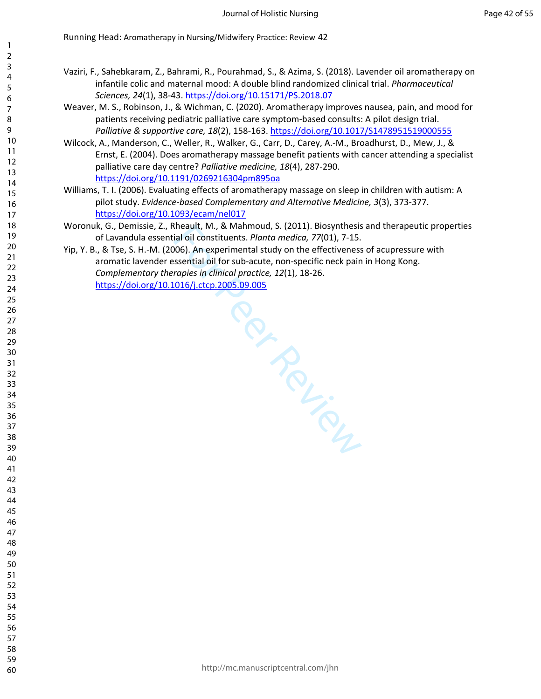- Vaziri, F., Sahebkaram, Z., Bahrami, R., Pourahmad, S., & Azima, S. (2018). Lavender oil aromatherapy on infantile colic and maternal mood: A double blind randomized clinical trial. *Pharmaceutical Sciences, 24*(1), 38-43. <https://doi.org/10.15171/PS.2018.07>
- Weaver, M. S., Robinson, J., & Wichman, C. (2020). Aromatherapy improves nausea, pain, and mood for patients receiving pediatric palliative care symptom-based consults: A pilot design trial. *Palliative & supportive care, 18*(2), 158-163.<https://doi.org/10.1017/S1478951519000555>
- Wilcock, A., Manderson, C., Weller, R., Walker, G., Carr, D., Carey, A.-M., Broadhurst, D., Mew, J., & Ernst, E. (2004). Does aromatherapy massage benefit patients with cancer attending a specialist palliative care day centre? *Palliative medicine, 18*(4), 287-290. <https://doi.org/10.1191/0269216304pm895oa>
- Williams, T. I. (2006). Evaluating effects of aromatherapy massage on sleep in children with autism: A pilot study. *Evidence-based Complementary and Alternative Medicine, 3*(3), 373-377. <https://doi.org/10.1093/ecam/nel017>
- Woronuk, G., Demissie, Z., Rheault, M., & Mahmoud, S. (2011). Biosynthesis and therapeutic properties of Lavandula essential oil constituents. *Planta medica, 77*(01), 7-15.

**PRANCES** 

Yip, Y. B., & Tse, S. H.-M. (2006). An experimental study on the effectiveness of acupressure with aromatic lavender essential oil for sub-acute, non-specific neck pain in Hong Kong. *Complementary therapies in clinical practice, 12*(1), 18-26. <https://doi.org/10.1016/j.ctcp.2005.09.005>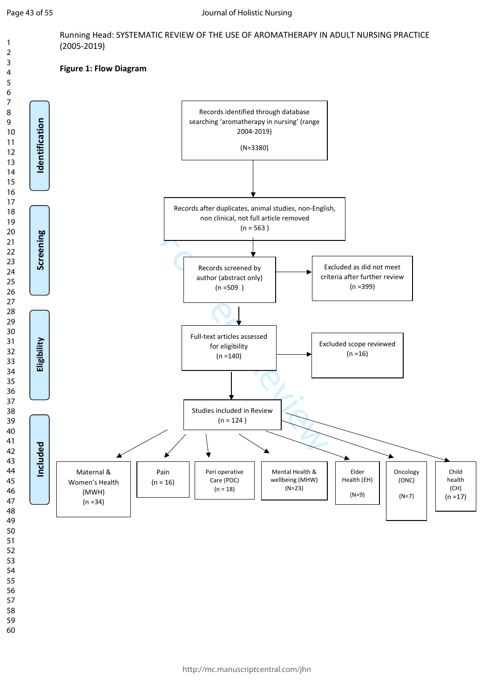Running Head: SYSTEMATIC REVIEW OF THE USE OF AROMATHERAPY IN ADULT NURSING PRACTICE (2005-2019)

## **Figure 1: Flow Diagram**

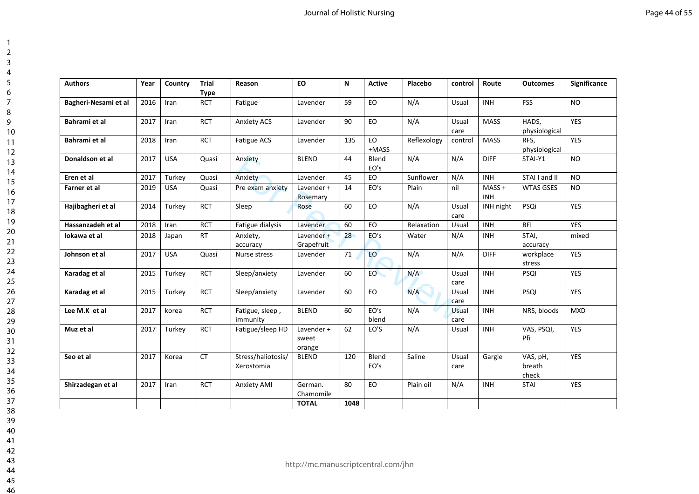| <b>Authors</b>       | Year | Country    | <b>Trial</b><br><b>Type</b> | Reason                           | <b>EO</b>                     | N    | Active        | Placebo     | control       | Route                 | <b>Outcomes</b>             | Significance |
|----------------------|------|------------|-----------------------------|----------------------------------|-------------------------------|------|---------------|-------------|---------------|-----------------------|-----------------------------|--------------|
| Bagheri-Nesami et al | 2016 | Iran       | <b>RCT</b>                  | Fatigue                          | Lavender                      | 59   | EO.           | N/A         | Usual         | <b>INH</b>            | <b>FSS</b>                  | <b>NO</b>    |
| Bahrami et al        | 2017 | Iran       | <b>RCT</b>                  | <b>Anxiety ACS</b>               | Lavender                      | 90   | EO            | N/A         | Usual<br>care | <b>MASS</b>           | HADS,<br>physiological      | <b>YES</b>   |
| Bahrami et al        | 2018 | Iran       | <b>RCT</b>                  | Fatigue ACS                      | Lavender                      | 135  | EO<br>+MASS   | Reflexology | control       | <b>MASS</b>           | RFS,<br>physiological       | <b>YES</b>   |
| Donaldson et al      | 2017 | <b>USA</b> | Quasi                       | Anxiety                          | <b>BLEND</b><br>44            |      | Blend<br>EO's | N/A<br>N/A  |               | <b>DIFF</b>           | STAI-Y1                     | <b>NO</b>    |
| Eren et al           | 2017 | Turkey     | Quasi                       | Anxiety                          | Lavender                      | 45   | EO            | Sunflower   | N/A           | <b>INH</b>            | STAI I and II               | <b>NO</b>    |
| Farner et al         | 2019 | <b>USA</b> | Quasi                       | Pre exam anxiety                 | Lavender +<br>Rosemary        | 14   | EO's          | Plain       | nil           | $MASS+$<br><b>INH</b> | <b>WTAS GSES</b>            | NO.          |
| Hajibagheri et al    | 2014 | Turkey     | <b>RCT</b>                  | Sleep                            | Rose                          | 60   | EO            | N/A         | Usual<br>care | INH night             | PSQi                        | YES          |
| Hassanzadeh et al    | 2018 | Iran       | <b>RCT</b>                  | Fatigue dialysis                 | Lavender                      | 60   | EO            | Relaxation  | Usual         | <b>INH</b>            | <b>BFI</b>                  | <b>YES</b>   |
| Iokawa et al         | 2018 | Japan      | <b>RT</b>                   | Anxiety,<br>accuracy             | Lavender +<br>Grapefruit      | 28   | EO's          | Water       | N/A           | <b>INH</b>            | STAI,<br>accuracy           | mixed        |
| Johnson et al        | 2017 | <b>USA</b> | Quasi                       | Nurse stress                     | Lavender                      | 71   | <b>EO</b>     | N/A         | N/A           | <b>DIFF</b>           | workplace<br>stress         | <b>YES</b>   |
| Karadag et al        | 2015 | Turkey     | <b>RCT</b>                  | Sleep/anxiety                    | Lavender                      | 60   | EO            | N/A         | Usual<br>care | <b>INH</b>            | PSQI                        | <b>YES</b>   |
| Karadag et al        | 2015 | Turkey     | <b>RCT</b>                  | Sleep/anxiety                    | Lavender                      | 60   | EO            | N/A         | Usual<br>care | <b>INH</b>            | PSQI                        | <b>YES</b>   |
| Lee M.K et al        | 2017 | korea      | <b>RCT</b>                  | Fatigue, sleep,<br>immunity      | <b>BLEND</b>                  | 60   | EO's<br>blend | N/A         | Usual<br>care | <b>INH</b>            | NRS, bloods                 | <b>MXD</b>   |
| Muz et al            | 2017 | Turkey     | <b>RCT</b>                  | Fatigue/sleep HD                 | Lavender +<br>sweet<br>orange | 62   | EO'S          | N/A         | Usual         | <b>INH</b>            | VAS, PSQI,<br>Pfi           | YES          |
| Seo et al            | 2017 | Korea      | <b>CT</b>                   | Stress/haliotosis/<br>Xerostomia | <b>BLEND</b>                  | 120  | Blend<br>EO's | Saline      | Usual<br>care | Gargle                | VAS, pH,<br>breath<br>check | <b>YES</b>   |
| Shirzadegan et al    | 2017 | Iran       | <b>RCT</b>                  | <b>Anxiety AMI</b>               | German.<br>Chamomile          | 80   | EO            | Plain oil   | N/A           | <b>INH</b>            | <b>STAI</b>                 | YES          |
|                      |      |            |                             |                                  | <b>TOTAL</b>                  | 1048 |               |             |               |                       |                             |              |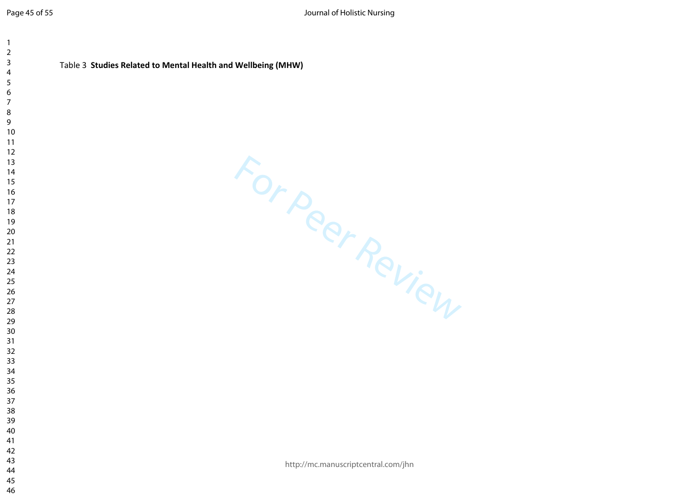| 1                       |                                                              |
|-------------------------|--------------------------------------------------------------|
| $\overline{c}$          |                                                              |
| 3                       | Table 3 Studies Related to Mental Health and Wellbeing (MHW) |
| $\overline{\mathbf{4}}$ |                                                              |
| 5                       |                                                              |
| $\boldsymbol{6}$        |                                                              |
| $\overline{7}$          |                                                              |
| 8<br>9                  |                                                              |
| 10                      |                                                              |
| 11                      |                                                              |
| 12                      |                                                              |
| 13                      |                                                              |
| 14                      |                                                              |
| 15                      | For Peer Review                                              |
| 16                      |                                                              |
| 17                      |                                                              |
| 18                      |                                                              |
| 19                      |                                                              |
| 20                      |                                                              |
| 21                      |                                                              |
| 22                      |                                                              |
| 23                      |                                                              |
| 24                      |                                                              |
| 25                      |                                                              |
| 26                      |                                                              |
| 27                      |                                                              |
| 28<br>29                |                                                              |
| 30                      |                                                              |
| 31                      |                                                              |
| 32                      |                                                              |
| 33                      |                                                              |
| 34                      |                                                              |
| 35                      |                                                              |
| 36                      |                                                              |
| 37                      |                                                              |
| 38                      |                                                              |
| 39                      |                                                              |
| 40                      |                                                              |
| 41                      |                                                              |
| 42                      |                                                              |
| 43                      | http://mc.manuscriptcentral.com/jhn                          |
| 44                      |                                                              |
| 45                      |                                                              |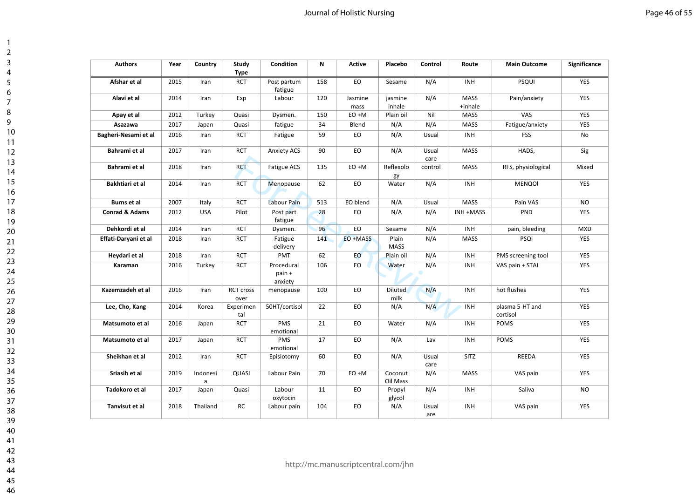$\overline{1}$  $\overline{2}$  $\overline{3}$  $\overline{4}$  $\overline{5}$ 6  $\overline{7}$ 8  $\overline{9}$ 

| <b>Authors</b>            | Year | Country       | Study<br><b>Type</b>     | Condition                       | N   | <b>Active</b>   | Placebo                | Control       | Route                  | <b>Main Outcome</b>         | Significance |
|---------------------------|------|---------------|--------------------------|---------------------------------|-----|-----------------|------------------------|---------------|------------------------|-----------------------------|--------------|
| Afshar et al              | 2015 | Iran          | <b>RCT</b>               | Post partum<br>fatigue          | 158 | EO              | Sesame                 | N/A           | INH                    | <b>PSQUI</b>                | <b>YES</b>   |
| Alavi et al               | 2014 | Iran          | Exp                      | Labour                          | 120 | Jasmine<br>mass | jasmine<br>inhale      | N/A           | <b>MASS</b><br>+inhale | Pain/anxiety                | YES          |
| Apay et al                | 2012 | Turkey        | Quasi                    | Dysmen.                         | 150 | EO +M           | Plain oil              | Nil           | MASS                   | VAS                         | <b>YES</b>   |
| Asazawa                   | 2017 | Japan         | Quasi                    | fatigue                         | 34  | Blend           | N/A                    | N/A           | MASS                   | Fatigue/anxiety             | <b>YES</b>   |
| Bagheri-Nesami et al      | 2016 | Iran          | <b>RCT</b>               | Fatigue                         | 59  | EO              | N/A                    | Usual         | INH                    | <b>FSS</b>                  | No           |
| Bahrami et al             | 2017 | Iran          | <b>RCT</b>               | <b>Anxiety ACS</b>              | 90  | EO              | N/A                    | Usual<br>care | <b>MASS</b>            | HADS,                       | Sig          |
| Bahrami et al             | 2018 | Iran          | <b>RCT</b>               | Fatigue ACS                     | 135 | EO +M           | Reflexolo<br>gy        | control       | MASS                   | RFS, physiological          | Mixed        |
| Bakhtiari et al           | 2014 | Iran          | <b>RCT</b>               | Menopause                       | 62  | EO              | Water                  | N/A           | INH                    | <b>MENQOI</b>               | <b>YES</b>   |
| <b>Burns et al</b>        | 2007 | Italy         | <b>RCT</b>               | Labour Pain                     | 513 | EO blend        | N/A                    | Usual         | <b>MASS</b>            | Pain VAS                    | <b>NO</b>    |
| <b>Conrad &amp; Adams</b> | 2012 | <b>USA</b>    | Pilot                    | Post part<br>fatigue            | 28  | EO              | N/A                    | N/A           | INH +MASS              | PND                         | <b>YES</b>   |
| Dehkordi et al            | 2014 | Iran          | <b>RCT</b>               | Dysmen.                         | 96  | EO              | Sesame                 | N/A           | INH                    | pain, bleeding              | <b>MXD</b>   |
| Effati-Daryani et al      | 2018 | Iran          | <b>RCT</b>               | Fatigue<br>delivery             | 141 | EO +MASS        | Plain<br><b>MASS</b>   | N/A           | MASS                   | PSQI                        | <b>YES</b>   |
| Heydari et al             | 2018 | Iran          | <b>RCT</b>               | PMT                             | 62  | EO              | Plain oil              | N/A           | INH                    | PMS screening tool          | <b>YES</b>   |
| Karaman                   | 2016 | Turkey        | <b>RCT</b>               | Procedural<br>pain +<br>anxiety | 106 | EO.             | Water                  | N/A           | <b>INH</b>             | VAS pain + STAI             | <b>YES</b>   |
| Kazemzadeh et al          | 2016 | Iran          | <b>RCT cross</b><br>over | menopause                       | 100 | EO              | <b>Diluted</b><br>milk | N/A           | INH                    | hot flushes                 | <b>YES</b>   |
| Lee, Cho, Kang            | 2014 | Korea         | Experimen<br>tal         | 50HT/cortisol                   | 22  | EO              | N/A                    | N/A           | INH                    | plasma 5-HT and<br>cortisol | <b>YES</b>   |
| Matsumoto et al           | 2016 | Japan         | <b>RCT</b>               | PMS<br>emotional                | 21  | EO              | Water                  | N/A           | INH                    | POMS                        | <b>YES</b>   |
| Matsumoto et al           | 2017 | Japan         | <b>RCT</b>               | PMS<br>emotional                | 17  | EO              | N/A                    | Lav           | INH                    | <b>POMS</b>                 | <b>YES</b>   |
| Sheikhan et al            | 2012 | Iran          | <b>RCT</b>               | Episiotomy                      | 60  | EO              | N/A                    | Usual<br>care | SITZ                   | REEDA                       | <b>YES</b>   |
| Sriasih et al             | 2019 | Indonesi<br>a | QUASI                    | Labour Pain                     | 70  | EO +M           | Coconut<br>Oil Mass    | N/A           | MASS                   | VAS pain                    | YES          |
| Tadokoro et al            | 2017 | Japan         | Quasi                    | Labour<br>oxytocin              | 11  | EO              | Propyl<br>glycol       | N/A           | INH                    | Saliva                      | <b>NO</b>    |
| Tanvisut et al            | 2018 | Thailand      | <b>RC</b>                | Labour pain                     | 104 | EO              | N/A                    | Usual<br>are  | INH                    | VAS pain                    | <b>YES</b>   |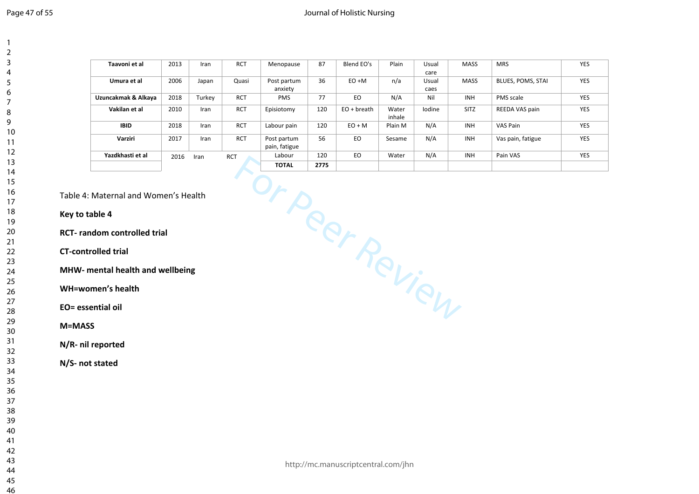## Journal of Holistic Nursing

| Taavoni et al       | 2013 | Iran   | <b>RCT</b> | Menopause     | 87   | Blend EO's  | Plain   | Usual  | <b>MASS</b> | <b>MRS</b>        | <b>YES</b> |
|---------------------|------|--------|------------|---------------|------|-------------|---------|--------|-------------|-------------------|------------|
|                     |      |        |            |               |      |             |         | care   |             |                   |            |
|                     |      |        |            |               |      |             |         |        |             |                   |            |
| Umura et al         | 2006 | Japan  | Quasi      | Post partum   | 36   | $EO + M$    | n/a     | Usual  | <b>MASS</b> | BLUES, POMS, STAI | <b>YES</b> |
|                     |      |        |            | anxiety       |      |             |         | caes   |             |                   |            |
| Uzuncakmak & Alkaya | 2018 | Turkey | <b>RCT</b> | <b>PMS</b>    | 77   | EO          | N/A     | Nil    | <b>INH</b>  | PMS scale         | <b>YES</b> |
| Vakilan et al       | 2010 | Iran   | <b>RCT</b> | Episiotomy    | 120  | EO + breath | Water   | lodine | <b>SITZ</b> | REEDA VAS pain    | <b>YES</b> |
|                     |      |        |            |               |      |             | inhale  |        |             |                   |            |
| <b>IBID</b>         | 2018 | Iran   | <b>RCT</b> | Labour pain   | 120  | $EO + M$    | Plain M | N/A    | <b>INH</b>  | VAS Pain          | <b>YES</b> |
| Varziri             | 2017 | Iran   | <b>RCT</b> | Post partum   | 56   | EO          | Sesame  | N/A    | <b>INH</b>  | Vas pain, fatigue | <b>YES</b> |
|                     |      |        |            | pain, fatigue |      |             |         |        |             |                   |            |
| Yazdkhasti et al    | 2016 | Iran   | <b>RCT</b> | Labour        | 120  | EO          | Water   | N/A    | <b>INH</b>  | Pain VAS          | <b>YES</b> |
|                     |      |        |            | <b>TOTAL</b>  | 2775 |             |         |        |             |                   |            |

Table 4: Maternal and Women's Health

## **Key to table 4**

**RCT- random controlled trial**

**CT-controlled trial**

**MHW- mental health and wellbeing**

**WH=women's health**

**EO= essential oil**

**M=MASS**

**N/R- nil reported**

**N/S- not stated**

**For Per Review Additional Person Per Review Property and Person Per Review Property and Person Per Review Property Additional Person Per Review Property Per Review Property Per Review Property Per Review Property Per Revi**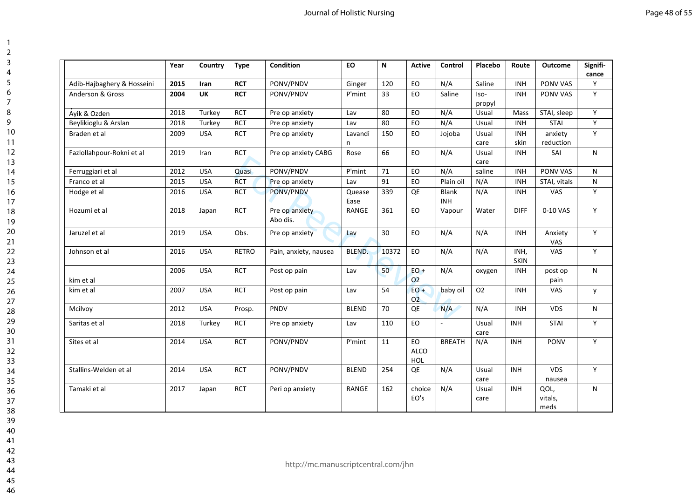|                            | Year | Country     | <b>Type</b>  | <b>Condition</b>           | <b>EO</b>      | N               | <b>Active</b>                   | Control             | Placebo        | Route               | <b>Outcome</b>          | Signifi-<br>cance |
|----------------------------|------|-------------|--------------|----------------------------|----------------|-----------------|---------------------------------|---------------------|----------------|---------------------|-------------------------|-------------------|
| Adib-Hajbaghery & Hosseini | 2015 | <b>Iran</b> | <b>RCT</b>   | PONV/PNDV                  | Ginger         | 120             | EO                              | N/A                 | Saline         | <b>INH</b>          | PONV VAS                | Y                 |
| Anderson & Gross           | 2004 | <b>UK</b>   | <b>RCT</b>   | PONV/PNDV                  | P'mint         | 33              | EO                              | Saline              | Iso-<br>propyl | <b>INH</b>          | PONV VAS                | Y                 |
| Ayik & Ozden               | 2018 | Turkey      | <b>RCT</b>   | Pre op anxiety             | Lav            | 80              | EO                              | N/A                 | Usual          | Mass                | STAI, sleep             | Y                 |
| Beylikioglu & Arslan       | 2018 | Turkey      | <b>RCT</b>   | Pre op anxiety             | Lav            | 80              | EO                              | N/A                 | Usual          | <b>INH</b>          | <b>STAI</b>             | Y                 |
| Braden et al               | 2009 | <b>USA</b>  | <b>RCT</b>   | Pre op anxiety             | Lavandi<br>n   | 150             | EO                              | Jojoba              | Usual<br>care  | <b>INH</b><br>skin  | anxiety<br>reduction    | Y                 |
| Fazlollahpour-Rokni et al  | 2019 | Iran        | <b>RCT</b>   | Pre op anxiety CABG        | Rose           | 66              | EO                              | N/A                 | Usual<br>care  | <b>INH</b>          | SAI                     | N                 |
| Ferruggiari et al          | 2012 | <b>USA</b>  | Quasi        | PONV/PNDV                  | P'mint         | 71              | EO.                             | N/A                 | saline         | <b>INH</b>          | PONV VAS                | N                 |
| Franco et al               | 2015 | <b>USA</b>  | <b>RCT</b>   | Pre op anxiety             | Lav            | 91              | EO                              | Plain oil           | N/A            | <b>INH</b>          | STAI, vitals            | N                 |
| Hodge et al                | 2016 | <b>USA</b>  | <b>RCT</b>   | PONV/PNDV                  | Quease<br>Ease | 339             | QE                              | Blank<br><b>INH</b> | N/A            | <b>INH</b>          | VAS                     | Y                 |
| Hozumi et al               | 2018 | Japan       | <b>RCT</b>   | Pre op anxiety<br>Abo dis. | <b>RANGE</b>   | 361             | EO                              | Vapour              | Water          | <b>DIFF</b>         | 0-10 VAS                | Y                 |
| Jaruzel et al              | 2019 | <b>USA</b>  | Obs.         | Pre op anxiety             | Lav            | 30              | EO                              | N/A                 | N/A            | <b>INH</b>          | Anxiety<br>VAS          | Y                 |
| Johnson et al              | 2016 | <b>USA</b>  | <b>RETRO</b> | Pain, anxiety, nausea      | <b>BLEND.</b>  | 10372           | EO                              | N/A                 | N/A            | INH,<br><b>SKIN</b> | VAS                     | Y                 |
| kim et al                  | 2006 | <b>USA</b>  | <b>RCT</b>   | Post op pain               | Lav            | 50 <sup>°</sup> | $EO +$<br>O <sub>2</sub>        | N/A                 | oxygen         | <b>INH</b>          | post op<br>pain         | N                 |
| kim et al                  | 2007 | <b>USA</b>  | <b>RCT</b>   | Post op pain               | Lav            | 54              | $EO +$<br>O <sub>2</sub>        | baby oil            | O <sub>2</sub> | <b>INH</b>          | VAS                     | y                 |
| Mcilvoy                    | 2012 | <b>USA</b>  | Prosp.       | PNDV                       | <b>BLEND</b>   | 70              | QE                              | N/A                 | N/A            | <b>INH</b>          | VDS                     | N                 |
| Saritas et al              | 2018 | Turkey      | <b>RCT</b>   | Pre op anxiety             | Lav            | 110             | EO                              |                     | Usual<br>care  | <b>INH</b>          | <b>STAI</b>             | Y                 |
| Sites et al                | 2014 | <b>USA</b>  | <b>RCT</b>   | PONV/PNDV                  | P'mint         | 11              | EO<br><b>ALCO</b><br><b>HOL</b> | <b>BREATH</b>       | N/A            | <b>INH</b>          | <b>PONV</b>             | Y                 |
| Stallins-Welden et al      | 2014 | <b>USA</b>  | <b>RCT</b>   | PONV/PNDV                  | <b>BLEND</b>   | 254             | QE                              | N/A                 | Usual<br>care  | <b>INH</b>          | <b>VDS</b><br>nausea    | Y                 |
| Tamaki et al               | 2017 | Japan       | <b>RCT</b>   | Peri op anxiety            | <b>RANGE</b>   | 162             | choice<br>EO's                  | N/A                 | Usual<br>care  | <b>INH</b>          | QOL,<br>vitals,<br>meds | N                 |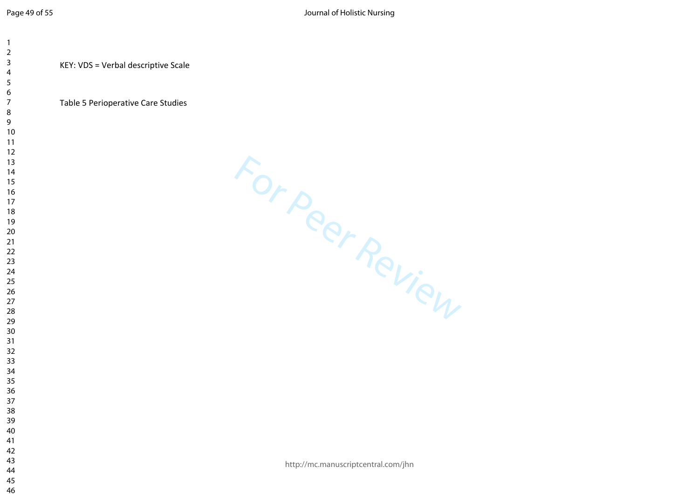KEY: VDS = Verbal descriptive Scale

## Table 5 Perioperative Care Studies

For Peer Review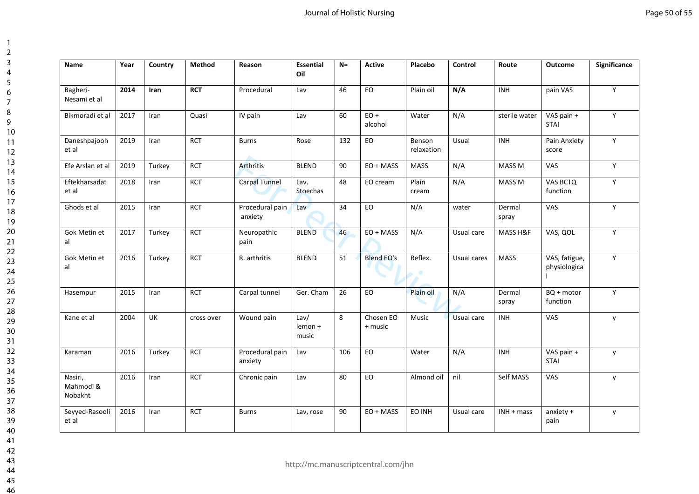| Name                            | Year | Country | <b>Method</b> | Reason                     | <b>Essential</b><br>Oil  | $N=$ | Active               | Placebo              | Control     | Route             | Outcome                       | Significance |
|---------------------------------|------|---------|---------------|----------------------------|--------------------------|------|----------------------|----------------------|-------------|-------------------|-------------------------------|--------------|
| Bagheri-<br>Nesami et al        | 2014 | Iran    | <b>RCT</b>    | Procedural                 | Lav                      | 46   | EO                   | Plain oil            | N/A         | <b>INH</b>        | pain VAS                      | Υ            |
| Bikmoradi et al                 | 2017 | Iran    | Quasi         | IV pain                    | Lav                      | 60   | $EO +$<br>alcohol    | Water                | N/A         | sterile water     | VAS pain +<br><b>STAI</b>     | Y            |
| Daneshpajooh<br>et al           | 2019 | Iran    | <b>RCT</b>    | <b>Burns</b>               | Rose                     | 132  | EO                   | Benson<br>relaxation | Usual       | <b>INH</b>        | Pain Anxiety<br>score         | Y            |
| Efe Arslan et al                | 2019 | Turkey  | <b>RCT</b>    | <b>Arthritis</b>           | <b>BLEND</b>             | 90   | $EO + MASS$          | <b>MASS</b>          | N/A         | MASS <sub>M</sub> | VAS                           | Y            |
| Eftekharsadat<br>et al          | 2018 | Iran    | <b>RCT</b>    | <b>Carpal Tunnel</b>       | Lav.<br>Stoechas         | 48   | EO cream             | Plain<br>cream       | N/A         | MASS <sub>M</sub> | <b>VAS BCTQ</b><br>function   | Y            |
| Ghods et al                     | 2015 | Iran    | <b>RCT</b>    | Procedural pain<br>anxiety | Lav                      | 34   | EO                   | N/A                  | water       | Dermal<br>spray   | VAS                           | Y            |
| Gok Metin et<br>al              | 2017 | Turkey  | <b>RCT</b>    | Neuropathic<br>pain        | <b>BLEND</b>             | 46   | $EO + MASS$          | N/A                  | Usual care  | MASS H&F          | VAS, QOL                      | Y            |
| Gok Metin et<br>al              | 2016 | Turkey  | <b>RCT</b>    | R. arthritis               | <b>BLEND</b>             | 51   | <b>Blend EO's</b>    | Reflex.              | Usual cares | <b>MASS</b>       | VAS, fatigue,<br>physiologica | Y            |
| Hasempur                        | 2015 | Iran    | <b>RCT</b>    | Carpal tunnel              | Ger. Cham                | 26   | EO                   | Plain oil            | N/A         | Dermal<br>spray   | BQ + motor<br>function        | Y            |
| Kane et al                      | 2004 | UK      | cross over    | Wound pain                 | Law/<br>lemon +<br>music | 8    | Chosen EO<br>+ music | Music                | Usual care  | <b>INH</b>        | VAS                           | y            |
| Karaman                         | 2016 | Turkey  | <b>RCT</b>    | Procedural pain<br>anxiety | Lav                      | 106  | EO                   | Water                | N/A         | INH               | VAS pain +<br><b>STAI</b>     | y            |
| Nasiri,<br>Mahmodi &<br>Nobakht | 2016 | Iran    | <b>RCT</b>    | Chronic pain               | Lav                      | 80   | EO                   | Almond oil           | nil         | Self MASS         | VAS                           | y            |
| Seyyed-Rasooli<br>et al         | 2016 | Iran    | <b>RCT</b>    | <b>Burns</b>               | Lav, rose                | 90   | EO + MASS            | EO INH               | Usual care  | $INH + mass$      | anxiety +<br>pain             | y            |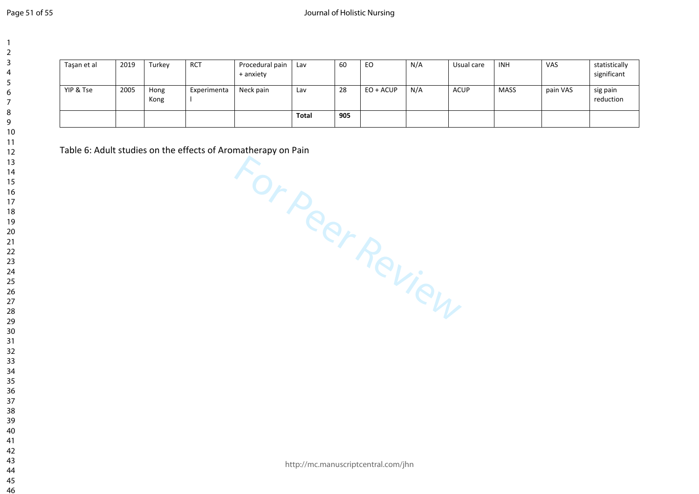| Tasan et al | 2019 | Turkey       | <b>RCT</b>  | Procedural pain<br>+ anxiety | Lav   | 60  | EO        | N/A | Usual care | <b>INH</b> | VAS      | statistically<br>significant |
|-------------|------|--------------|-------------|------------------------------|-------|-----|-----------|-----|------------|------------|----------|------------------------------|
| YIP & Tse   | 2005 | Hong<br>Kong | Experimenta | Neck pain                    | Lav   | 28  | EO + ACUP | N/A | ACUP       | MASS       | pain VAS | sig pain<br>reduction        |
|             |      |              |             |                              | Total | 905 |           |     |            |            |          |                              |

For Peer Review Table 6: Adult studies on the effects of Aromatherapy on Pain

http://mc.manuscriptcentral.com/jhn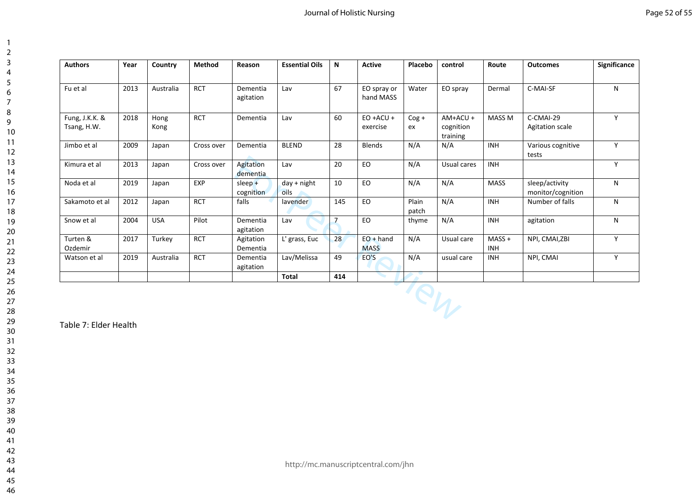| Page 52 of 55 |  |
|---------------|--|
|---------------|--|

| <b>Authors</b>                | Year | Country      | <b>Method</b> | Reason                 | <b>Essential Oils</b> | N              | <b>Active</b>              | Placebo        | control                           | Route                  | <b>Outcomes</b>                     | Significance |
|-------------------------------|------|--------------|---------------|------------------------|-----------------------|----------------|----------------------------|----------------|-----------------------------------|------------------------|-------------------------------------|--------------|
| Fu et al                      | 2013 | Australia    | <b>RCT</b>    | Dementia<br>agitation  | Lav                   | 67             | EO spray or<br>hand MASS   | Water          | EO spray                          | Dermal                 | C-MAI-SF                            | N            |
| Fung, J.K.K. &<br>Tsang, H.W. | 2018 | Hong<br>Kong | <b>RCT</b>    | Dementia               | Lav                   | 60             | $EO + ACU +$<br>exercise   | $Cog +$<br>ex  | AM+ACU +<br>cognition<br>training | MASS M                 | C-CMAI-29<br><b>Agitation scale</b> | Y            |
| Jimbo et al                   | 2009 | Japan        | Cross over    | Dementia               | <b>BLEND</b>          | 28             | Blends                     | N/A            | N/A                               | <b>INH</b>             | Various cognitive<br>tests          | Y            |
| Kimura et al                  | 2013 | Japan        | Cross over    | Agitation<br>dementia  | Lav                   | 20             | EO                         | N/A            | Usual cares                       | <b>INH</b>             |                                     | Y            |
| Noda et al                    | 2019 | Japan        | EXP           | $sleep +$<br>cognition | $day + night$<br>oils | 10             | EO                         | N/A            | N/A                               | <b>MASS</b>            | sleep/activity<br>monitor/cognition | N            |
| Sakamoto et al                | 2012 | Japan        | <b>RCT</b>    | falls                  | lavender              | 145            | EO                         | Plain<br>patch | N/A                               | <b>INH</b>             | Number of falls                     | N            |
| Snow et al                    | 2004 | <b>USA</b>   | Pilot         | Dementia<br>agitation  | Lav                   | $\overline{7}$ | EO                         | thyme          | N/A                               | <b>INH</b>             | agitation                           | N            |
| Turten &<br>Ozdemir           | 2017 | Turkey       | <b>RCT</b>    | Agitation<br>Dementia  | L' grass, Euc         | 28             | $EO + hand$<br><b>MASS</b> | N/A            | Usual care                        | $MASS +$<br><b>INH</b> | NPI, CMAI, ZBI                      | Y            |
| Watson et al                  | 2019 | Australia    | <b>RCT</b>    | Dementia<br>agitation  | Lav/Melissa           | 49             | EO'S                       | N/A            | usual care                        | <b>INH</b>             | NPI, CMAI                           | Y            |
|                               |      |              |               |                        | <b>Total</b>          | 414            |                            |                |                                   |                        |                                     |              |
|                               |      |              |               |                        |                       |                |                            |                | PW                                |                        |                                     |              |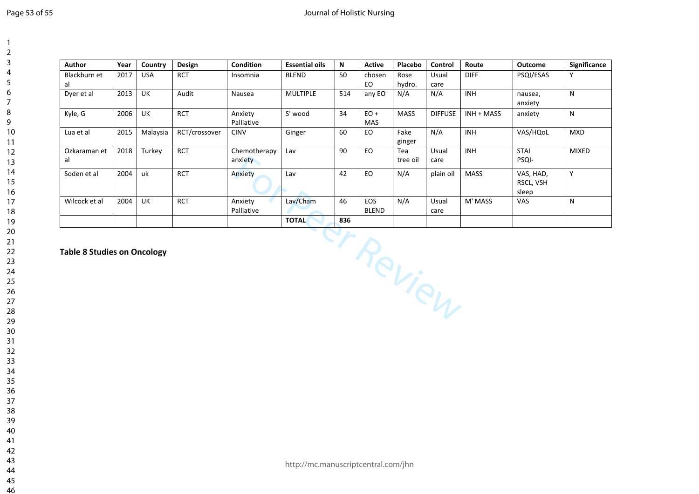## Journal of Holistic Nursing

| <b>Author</b>                      | Year | Country    | Design        | <b>Condition</b>        | <b>Essential oils</b> | N   | <b>Active</b>              | Placebo         | Control        | Route       | Outcome                         | Significance |
|------------------------------------|------|------------|---------------|-------------------------|-----------------------|-----|----------------------------|-----------------|----------------|-------------|---------------------------------|--------------|
| Blackburn et<br>al                 | 2017 | <b>USA</b> | RCT           | Insomnia                | <b>BLEND</b>          | 50  | chosen<br>EO               | Rose<br>hydro.  | Usual<br>care  | <b>DIFF</b> | PSQI/ESAS                       | Y            |
| Dyer et al                         | 2013 | UK         | Audit         | Nausea                  | <b>MULTIPLE</b>       | 514 | any EO                     | N/A             | N/A            | <b>INH</b>  | nausea,<br>anxiety              | N            |
| Kyle, G                            | 2006 | UK         | <b>RCT</b>    | Anxiety<br>Palliative   | S' wood               | 34  | $EO +$<br><b>MAS</b>       | <b>MASS</b>     | <b>DIFFUSE</b> | INH + MASS  | anxiety                         | N            |
| Lua et al                          | 2015 | Malaysia   | RCT/crossover | <b>CINV</b>             | Ginger                | 60  | EO                         | Fake<br>ginger  | N/A            | <b>INH</b>  | VAS/HQoL                        | <b>MXD</b>   |
| Ozkaraman et<br>al                 | 2018 | Turkey     | <b>RCT</b>    | Chemotherapy<br>anxiety | Lav                   | 90  | EO.                        | Tea<br>tree oil | Usual<br>care  | <b>INH</b>  | <b>STAI</b><br>PSQI-            | <b>MIXED</b> |
| Soden et al                        | 2004 | uk         | <b>RCT</b>    | Anxiety                 | Lav                   | 42  | <b>EO</b>                  | N/A             | plain oil      | <b>MASS</b> | VAS, HAD,<br>RSCL, VSH<br>sleep | Y            |
| Wilcock et al                      | 2004 | <b>UK</b>  | <b>RCT</b>    | Anxiety<br>Palliative   | Lav/Cham              | 46  | <b>EOS</b><br><b>BLEND</b> | N/A             | Usual<br>care  | M' MASS     | VAS                             | N            |
|                                    |      |            |               |                         | <b>TOTAL</b>          | 836 |                            |                 |                |             |                                 |              |
| <b>Table 8 Studies on Oncology</b> |      |            |               |                         |                       |     |                            | ct Review       |                |             |                                 |              |
|                                    |      |            |               |                         |                       |     |                            |                 |                |             |                                 |              |
|                                    |      |            |               |                         |                       |     |                            |                 |                |             |                                 |              |
|                                    |      |            |               |                         |                       |     |                            |                 |                |             |                                 |              |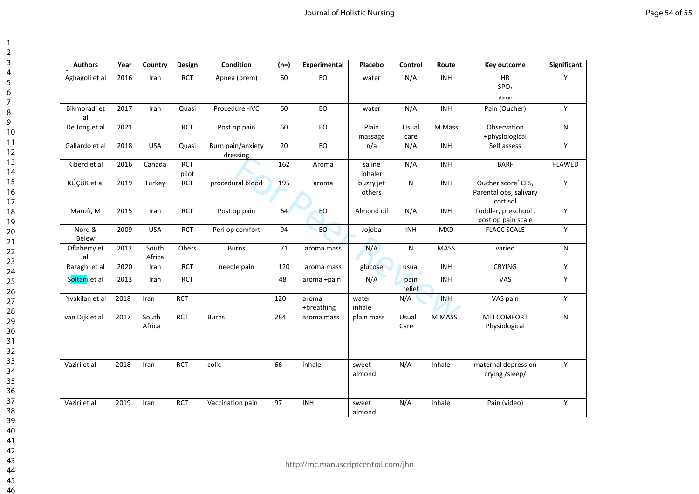| <b>Authors</b>     | Year | Country         | Design              | Condition                     | $(n=)$ | Experimental        | Placebo             | Control        | Route         | Key outcome                                              | Significant   |
|--------------------|------|-----------------|---------------------|-------------------------------|--------|---------------------|---------------------|----------------|---------------|----------------------------------------------------------|---------------|
| Aghagoli et al     | 2016 | Iran            | <b>RCT</b>          | Apnea (prem)                  | 60     | EO                  | water               | N/A            | <b>INH</b>    | <b>HR</b><br>SPO <sub>2</sub><br>Apnae                   | Y             |
| Bikmoradi et<br>al | 2017 | Iran            | Quasi               | Procedure - IVC               | 60     | EO                  | water               | N/A            | <b>INH</b>    | Pain (Oucher)                                            | Y             |
| De Jong et al      | 2021 |                 | <b>RCT</b>          | Post op pain                  | 60     | EO                  | Plain<br>massage    | Usual<br>care  | M Mass        | Observation<br>+physiological                            | N             |
| Gallardo et al     | 2018 | <b>USA</b>      | Quasi               | Burn pain/anxiety<br>dressing | 20     | EO                  | n/a                 | N/A            | <b>INH</b>    | Self assess                                              | Y             |
| Kiberd et al       | 2016 | Canada          | <b>RCT</b><br>pilot |                               | 162    | Aroma               | saline<br>inhaler   | N/A            | <b>INH</b>    | <b>BARF</b>                                              | <b>FLAWED</b> |
| KÜÇÜK et al        | 2019 | Turkey          | <b>RCT</b>          | procedural blood              | 195    | aroma               | buzzy jet<br>others | N              | <b>INH</b>    | Oucher score' CFS,<br>Parental obs, salivary<br>cortisol | Y             |
| Marofi, M          | 2015 | Iran            | <b>RCT</b>          | Post op pain                  | 64     | EO                  | Almond oil          | N/A            | <b>INH</b>    | Toddler, preschool.<br>post op pain scale                | Y             |
| Nord &<br>Belew    | 2009 | <b>USA</b>      | <b>RCT</b>          | Peri op comfort               | 94     | EO.                 | Jojoba              | <b>INH</b>     | <b>MXD</b>    | <b>FLACC SCALE</b>                                       | Y             |
| Oflaherty et<br>al | 2012 | South<br>Africa | Obers               | <b>Burns</b>                  | 71     | aroma mass          | N/A                 | N              | <b>MASS</b>   | varied                                                   | N             |
| Razaghi et al      | 2020 | Iran            | <b>RCT</b>          | needle pain                   | 120    | aroma mass          | glucose             | usual          | <b>INH</b>    | <b>CRYING</b>                                            | Y             |
| Soltani et al      | 2013 | Iran            | <b>RCT</b>          |                               | 48     | aroma +pain         | N/A                 | pain<br>relief | <b>INH</b>    | VAS                                                      | Υ             |
| Yvakilan et al     | 2018 | Iran            | <b>RCT</b>          |                               | 120    | aroma<br>+breathing | water<br>inhale     | N/A            | <b>INH</b>    | VAS pain                                                 | Y             |
| van Dijk et al     | 2017 | South<br>Africa | <b>RCT</b>          | <b>Burns</b>                  | 284    | aroma mass          | plain mass          | Usual<br>Care  | <b>M MASS</b> | <b>MTI COMFORT</b><br>Physiological                      | N             |
| Vaziri et al       | 2018 | Iran            | <b>RCT</b>          | colic                         | 66     | inhale              | sweet<br>almond     | N/A            | Inhale        | maternal depression<br>crying /sleep/                    | Y             |
| Vaziri et al       | 2019 | Iran            | <b>RCT</b>          | Vaccination pain              | 97     | <b>INH</b>          | sweet<br>almond     | N/A            | Inhale        | Pain (video)                                             | Υ             |

 $\overline{1}$  $\overline{2}$  $\overline{3}$  $\overline{4}$  $\overline{5}$ 6  $\overline{7}$ 8  $\overline{9}$